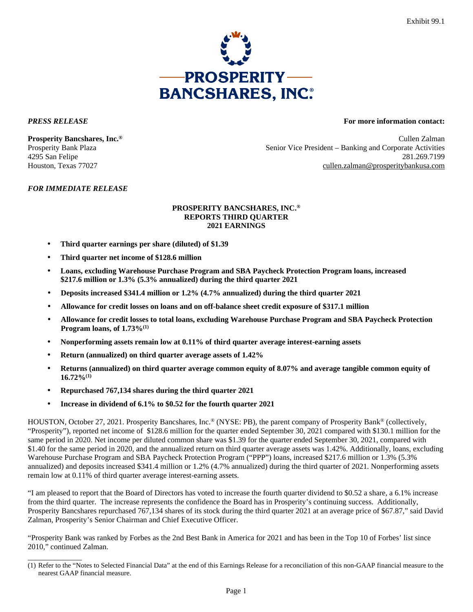

\_\_\_\_\_\_\_\_\_\_\_\_\_\_

## *PRESS RELEASE* **For more information contact:**

**Prosperity Bancshares, Inc.®** Cullen Zalman Prosperity Bank Plaza Senior Vice President – Banking and Corporate Activities 4295 San Felipe 281.269.7199 Houston, Texas 77027 cullen.zalman@prosperitybankusa.com

## *FOR IMMEDIATE RELEASE*

## **PROSPERITY BANCSHARES, INC.® REPORTS THIRD QUARTER 2021 EARNINGS**

- **Third quarter earnings per share (diluted) of \$1.39**
- **Third quarter net income of \$128.6 million**
- **Loans, excluding Warehouse Purchase Program and SBA Paycheck Protection Program loans, increased \$217.6 million or 1.3% (5.3% annualized) during the third quarter 2021**
- **Deposits increased \$341.4 million or 1.2% (4.7% annualized) during the third quarter 2021**
- **Allowance for credit losses on loans and on off-balance sheet credit exposure of \$317.1 million**
- **Allowance for credit losses to total loans, excluding Warehouse Purchase Program and SBA Paycheck Protection Program loans, of 1.73%(1)**
- **Nonperforming assets remain low at 0.11% of third quarter average interest-earning assets**
- **Return (annualized) on third quarter average assets of 1.42%**
- **Returns (annualized) on third quarter average common equity of 8.07% and average tangible common equity of 16.72%(1)**
- **Repurchased 767,134 shares during the third quarter 2021**
- **Increase in dividend of 6.1% to \$0.52 for the fourth quarter 2021**

HOUSTON, October 27, 2021. Prosperity Bancshares, Inc.® (NYSE: PB), the parent company of Prosperity Bank® (collectively, "Prosperity"), reported net income of \$128.6 million for the quarter ended September 30, 2021 compared with \$130.1 million for the same period in 2020. Net income per diluted common share was \$1.39 for the quarter ended September 30, 2021, compared with \$1.40 for the same period in 2020, and the annualized return on third quarter average assets was 1.42%. Additionally, loans, excluding Warehouse Purchase Program and SBA Paycheck Protection Program ("PPP") loans, increased \$217.6 million or 1.3% (5.3% annualized) and deposits increased \$341.4 million or 1.2% (4.7% annualized) during the third quarter of 2021. Nonperforming assets remain low at 0.11% of third quarter average interest-earning assets.

"I am pleased to report that the Board of Directors has voted to increase the fourth quarter dividend to \$0.52 a share, a 6.1% increase from the third quarter. The increase represents the confidence the Board has in Prosperity's continuing success. Additionally, Prosperity Bancshares repurchased 767,134 shares of its stock during the third quarter 2021 at an average price of \$67.87," said David Zalman, Prosperity's Senior Chairman and Chief Executive Officer.

"Prosperity Bank was ranked by Forbes as the 2nd Best Bank in America for 2021 and has been in the Top 10 of Forbes' list since 2010," continued Zalman.

<sup>(1)</sup> Refer to the "Notes to Selected Financial Data" at the end of this Earnings Release for a reconciliation of this non-GAAP financial measure to the nearest GAAP financial measure.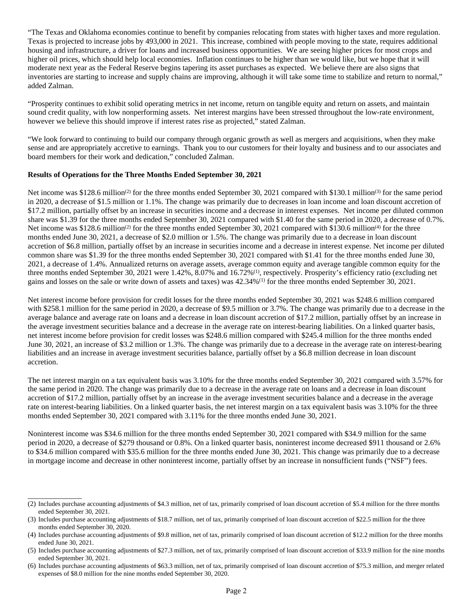"The Texas and Oklahoma economies continue to benefit by companies relocating from states with higher taxes and more regulation. Texas is projected to increase jobs by 493,000 in 2021. This increase, combined with people moving to the state, requires additional housing and infrastructure, a driver for loans and increased business opportunities. We are seeing higher prices for most crops and higher oil prices, which should help local economies. Inflation continues to be higher than we would like, but we hope that it will moderate next year as the Federal Reserve begins tapering its asset purchases as expected. We believe there are also signs that inventories are starting to increase and supply chains are improving, although it will take some time to stabilize and return to normal," added Zalman.

"Prosperity continues to exhibit solid operating metrics in net income, return on tangible equity and return on assets, and maintain sound credit quality, with low nonperforming assets. Net interest margins have been stressed throughout the low-rate environment, however we believe this should improve if interest rates rise as projected," stated Zalman.

"We look forward to continuing to build our company through organic growth as well as mergers and acquisitions, when they make sense and are appropriately accretive to earnings. Thank you to our customers for their loyalty and business and to our associates and board members for their work and dedication," concluded Zalman.

## **Results of Operations for the Three Months Ended September 30, 2021**

\_\_\_\_\_\_\_\_\_\_\_\_\_\_

Net income was \$128.6 million<sup>(2)</sup> for the three months ended September 30, 2021 compared with \$130.1 million<sup>(3)</sup> for the same period in 2020, a decrease of \$1.5 million or 1.1%. The change was primarily due to decreases in loan income and loan discount accretion of \$17.2 million, partially offset by an increase in securities income and a decrease in interest expenses. Net income per diluted common share was \$1.39 for the three months ended September 30, 2021 compared with \$1.40 for the same period in 2020, a decrease of 0.7%. Net income was  $$128.6$  million<sup>(2)</sup> for the three months ended September 30, 2021 compared with  $$130.6$  million<sup>(4)</sup> for the three months ended June 30, 2021, a decrease of \$2.0 million or 1.5%. The change was primarily due to a decrease in loan discount accretion of \$6.8 million, partially offset by an increase in securities income and a decrease in interest expense. Net income per diluted common share was \$1.39 for the three months ended September 30, 2021 compared with \$1.41 for the three months ended June 30, 2021, a decrease of 1.4%. Annualized returns on average assets, average common equity and average tangible common equity for the three months ended September 30, 2021 were 1.42%, 8.07% and 16.72%<sup>(1)</sup>, respectively. Prosperity's efficiency ratio (excluding net gains and losses on the sale or write down of assets and taxes) was 42.34%(1) for the three months ended September 30, 2021.

Net interest income before provision for credit losses for the three months ended September 30, 2021 was \$248.6 million compared with \$258.1 million for the same period in 2020, a decrease of \$9.5 million or 3.7%. The change was primarily due to a decrease in the average balance and average rate on loans and a decrease in loan discount accretion of \$17.2 million, partially offset by an increase in the average investment securities balance and a decrease in the average rate on interest-bearing liabilities. On a linked quarter basis, net interest income before provision for credit losses was \$248.6 million compared with \$245.4 million for the three months ended June 30, 2021, an increase of \$3.2 million or 1.3%. The change was primarily due to a decrease in the average rate on interest-bearing liabilities and an increase in average investment securities balance, partially offset by a \$6.8 million decrease in loan discount accretion.

The net interest margin on a tax equivalent basis was 3.10% for the three months ended September 30, 2021 compared with 3.57% for the same period in 2020. The change was primarily due to a decrease in the average rate on loans and a decrease in loan discount accretion of \$17.2 million, partially offset by an increase in the average investment securities balance and a decrease in the average rate on interest-bearing liabilities. On a linked quarter basis, the net interest margin on a tax equivalent basis was 3.10% for the three months ended September 30, 2021 compared with 3.11% for the three months ended June 30, 2021.

Noninterest income was \$34.6 million for the three months ended September 30, 2021 compared with \$34.9 million for the same period in 2020, a decrease of \$279 thousand or 0.8%. On a linked quarter basis, noninterest income decreased \$911 thousand or 2.6% to \$34.6 million compared with \$35.6 million for the three months ended June 30, 2021. This change was primarily due to a decrease in mortgage income and decrease in other noninterest income, partially offset by an increase in nonsufficient funds ("NSF") fees.

<sup>(2)</sup> Includes purchase accounting adjustments of \$4.3 million, net of tax, primarily comprised of loan discount accretion of \$5.4 million for the three months ended September 30, 2021.

<sup>(3)</sup> Includes purchase accounting adjustments of \$18.7 million, net of tax, primarily comprised of loan discount accretion of \$22.5 million for the three months ended September 30, 2020.

<sup>(4)</sup> Includes purchase accounting adjustments of \$9.8 million, net of tax, primarily comprised of loan discount accretion of \$12.2 million for the three months ended June 30, 2021.

<sup>(5)</sup> Includes purchase accounting adjustments of \$27.3 million, net of tax, primarily comprised of loan discount accretion of \$33.9 million for the nine months ended September 30, 2021.

<sup>(6)</sup> Includes purchase accounting adjustments of \$63.3 million, net of tax, primarily comprised of loan discount accretion of \$75.3 million, and merger related expenses of \$8.0 million for the nine months ended September 30, 2020.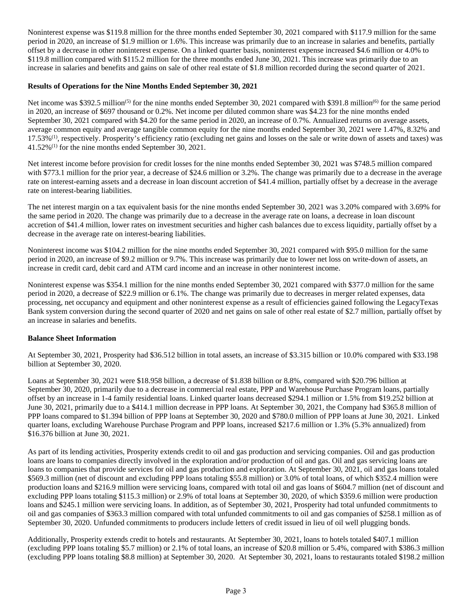Noninterest expense was \$119.8 million for the three months ended September 30, 2021 compared with \$117.9 million for the same period in 2020, an increase of \$1.9 million or 1.6%. This increase was primarily due to an increase in salaries and benefits, partially offset by a decrease in other noninterest expense. On a linked quarter basis, noninterest expense increased \$4.6 million or 4.0% to \$119.8 million compared with \$115.2 million for the three months ended June 30, 2021. This increase was primarily due to an increase in salaries and benefits and gains on sale of other real estate of \$1.8 million recorded during the second quarter of 2021.

## **Results of Operations for the Nine Months Ended September 30, 2021**

Net income was \$392.5 million<sup>(5)</sup> for the nine months ended September 30, 2021 compared with \$391.8 million<sup>(6)</sup> for the same period in 2020, an increase of \$697 thousand or 0.2%. Net income per diluted common share was \$4.23 for the nine months ended September 30, 2021 compared with \$4.20 for the same period in 2020, an increase of 0.7%. Annualized returns on average assets, average common equity and average tangible common equity for the nine months ended September 30, 2021 were 1.47%, 8.32% and  $17.53\%$ <sup>(1)</sup>, respectively. Prosperity's efficiency ratio (excluding net gains and losses on the sale or write down of assets and taxes) was 41.52%(1) for the nine months ended September 30, 2021.

Net interest income before provision for credit losses for the nine months ended September 30, 2021 was \$748.5 million compared with \$773.1 million for the prior year, a decrease of \$24.6 million or 3.2%. The change was primarily due to a decrease in the average rate on interest-earning assets and a decrease in loan discount accretion of \$41.4 million, partially offset by a decrease in the average rate on interest-bearing liabilities.

The net interest margin on a tax equivalent basis for the nine months ended September 30, 2021 was 3.20% compared with 3.69% for the same period in 2020. The change was primarily due to a decrease in the average rate on loans, a decrease in loan discount accretion of \$41.4 million, lower rates on investment securities and higher cash balances due to excess liquidity, partially offset by a decrease in the average rate on interest-bearing liabilities.

Noninterest income was \$104.2 million for the nine months ended September 30, 2021 compared with \$95.0 million for the same period in 2020, an increase of \$9.2 million or 9.7%. This increase was primarily due to lower net loss on write-down of assets, an increase in credit card, debit card and ATM card income and an increase in other noninterest income.

Noninterest expense was \$354.1 million for the nine months ended September 30, 2021 compared with \$377.0 million for the same period in 2020, a decrease of \$22.9 million or 6.1%. The change was primarily due to decreases in merger related expenses, data processing, net occupancy and equipment and other noninterest expense as a result of efficiencies gained following the LegacyTexas Bank system conversion during the second quarter of 2020 and net gains on sale of other real estate of \$2.7 million, partially offset by an increase in salaries and benefits.

## **Balance Sheet Information**

At September 30, 2021, Prosperity had \$36.512 billion in total assets, an increase of \$3.315 billion or 10.0% compared with \$33.198 billion at September 30, 2020.

Loans at September 30, 2021 were \$18.958 billion, a decrease of \$1.838 billion or 8.8%, compared with \$20.796 billion at September 30, 2020, primarily due to a decrease in commercial real estate, PPP and Warehouse Purchase Program loans, partially offset by an increase in 1-4 family residential loans. Linked quarter loans decreased \$294.1 million or 1.5% from \$19.252 billion at June 30, 2021, primarily due to a \$414.1 million decrease in PPP loans. At September 30, 2021, the Company had \$365.8 million of PPP loans compared to \$1.394 billion of PPP loans at September 30, 2020 and \$780.0 million of PPP loans at June 30, 2021. Linked quarter loans, excluding Warehouse Purchase Program and PPP loans, increased \$217.6 million or 1.3% (5.3% annualized) from \$16.376 billion at June 30, 2021.

As part of its lending activities, Prosperity extends credit to oil and gas production and servicing companies. Oil and gas production loans are loans to companies directly involved in the exploration and/or production of oil and gas. Oil and gas servicing loans are loans to companies that provide services for oil and gas production and exploration. At September 30, 2021, oil and gas loans totaled \$569.3 million (net of discount and excluding PPP loans totaling \$55.8 million) or 3.0% of total loans, of which \$352.4 million were production loans and \$216.9 million were servicing loans, compared with total oil and gas loans of \$604.7 million (net of discount and excluding PPP loans totaling \$115.3 million) or 2.9% of total loans at September 30, 2020, of which \$359.6 million were production loans and \$245.1 million were servicing loans. In addition, as of September 30, 2021, Prosperity had total unfunded commitments to oil and gas companies of \$363.3 million compared with total unfunded commitments to oil and gas companies of \$258.1 million as of September 30, 2020. Unfunded commitments to producers include letters of credit issued in lieu of oil well plugging bonds.

Additionally, Prosperity extends credit to hotels and restaurants. At September 30, 2021, loans to hotels totaled \$407.1 million (excluding PPP loans totaling \$5.7 million) or 2.1% of total loans, an increase of \$20.8 million or 5.4%, compared with \$386.3 million (excluding PPP loans totaling \$8.8 million) at September 30, 2020. At September 30, 2021, loans to restaurants totaled \$198.2 million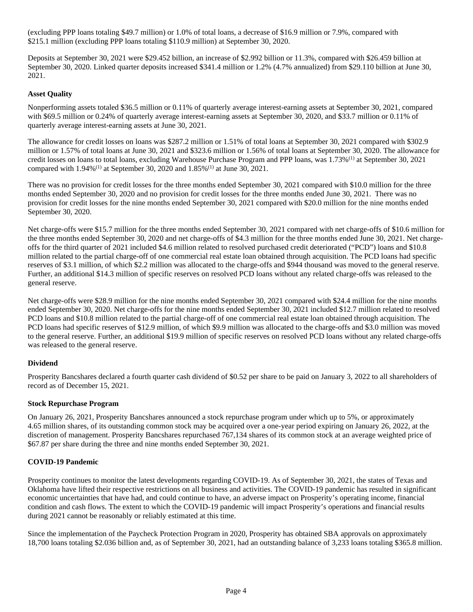(excluding PPP loans totaling \$49.7 million) or 1.0% of total loans, a decrease of \$16.9 million or 7.9%, compared with \$215.1 million (excluding PPP loans totaling \$110.9 million) at September 30, 2020.

Deposits at September 30, 2021 were \$29.452 billion, an increase of \$2.992 billion or 11.3%, compared with \$26.459 billion at September 30, 2020. Linked quarter deposits increased \$341.4 million or 1.2% (4.7% annualized) from \$29.110 billion at June 30, 2021.

## **Asset Quality**

Nonperforming assets totaled \$36.5 million or 0.11% of quarterly average interest-earning assets at September 30, 2021, compared with \$69.5 million or 0.24% of quarterly average interest-earning assets at September 30, 2020, and \$33.7 million or 0.11% of quarterly average interest-earning assets at June 30, 2021.

The allowance for credit losses on loans was \$287.2 million or 1.51% of total loans at September 30, 2021 compared with \$302.9 million or 1.57% of total loans at June 30, 2021 and \$323.6 million or 1.56% of total loans at September 30, 2020. The allowance for credit losses on loans to total loans, excluding Warehouse Purchase Program and PPP loans, was 1.73%<sup>(1)</sup> at September 30, 2021 compared with 1.94%(1) at September 30, 2020 and 1.85%(1) at June 30, 2021.

There was no provision for credit losses for the three months ended September 30, 2021 compared with \$10.0 million for the three months ended September 30, 2020 and no provision for credit losses for the three months ended June 30, 2021. There was no provision for credit losses for the nine months ended September 30, 2021 compared with \$20.0 million for the nine months ended September 30, 2020.

Net charge-offs were \$15.7 million for the three months ended September 30, 2021 compared with net charge-offs of \$10.6 million for the three months ended September 30, 2020 and net charge-offs of \$4.3 million for the three months ended June 30, 2021. Net chargeoffs for the third quarter of 2021 included \$4.6 million related to resolved purchased credit deteriorated ("PCD") loans and \$10.8 million related to the partial charge-off of one commercial real estate loan obtained through acquisition. The PCD loans had specific reserves of \$3.1 million, of which \$2.2 million was allocated to the charge-offs and \$944 thousand was moved to the general reserve. Further, an additional \$14.3 million of specific reserves on resolved PCD loans without any related charge-offs was released to the general reserve.

Net charge-offs were \$28.9 million for the nine months ended September 30, 2021 compared with \$24.4 million for the nine months ended September 30, 2020. Net charge-offs for the nine months ended September 30, 2021 included \$12.7 million related to resolved PCD loans and \$10.8 million related to the partial charge-off of one commercial real estate loan obtained through acquisition. The PCD loans had specific reserves of \$12.9 million, of which \$9.9 million was allocated to the charge-offs and \$3.0 million was moved to the general reserve. Further, an additional \$19.9 million of specific reserves on resolved PCD loans without any related charge-offs was released to the general reserve.

## **Dividend**

Prosperity Bancshares declared a fourth quarter cash dividend of \$0.52 per share to be paid on January 3, 2022 to all shareholders of record as of December 15, 2021.

## **Stock Repurchase Program**

On January 26, 2021, Prosperity Bancshares announced a stock repurchase program under which up to 5%, or approximately 4.65 million shares, of its outstanding common stock may be acquired over a one-year period expiring on January 26, 2022, at the discretion of management. Prosperity Bancshares repurchased 767,134 shares of its common stock at an average weighted price of \$67.87 per share during the three and nine months ended September 30, 2021.

## **COVID-19 Pandemic**

Prosperity continues to monitor the latest developments regarding COVID-19. As of September 30, 2021, the states of Texas and Oklahoma have lifted their respective restrictions on all business and activities. The COVID-19 pandemic has resulted in significant economic uncertainties that have had, and could continue to have, an adverse impact on Prosperity's operating income, financial condition and cash flows. The extent to which the COVID-19 pandemic will impact Prosperity's operations and financial results during 2021 cannot be reasonably or reliably estimated at this time.

Since the implementation of the Paycheck Protection Program in 2020, Prosperity has obtained SBA approvals on approximately 18,700 loans totaling \$2.036 billion and, as of September 30, 2021, had an outstanding balance of 3,233 loans totaling \$365.8 million.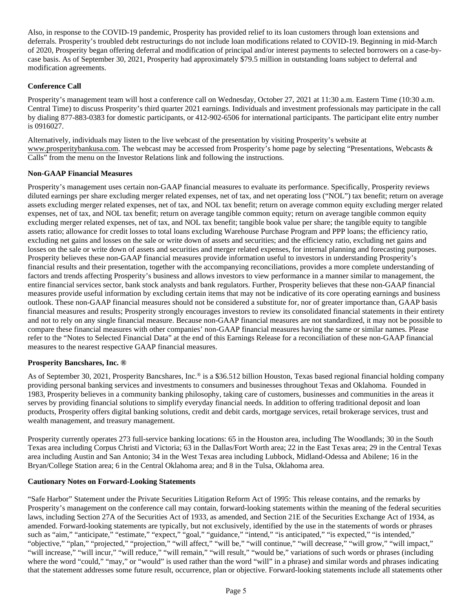Also, in response to the COVID-19 pandemic, Prosperity has provided relief to its loan customers through loan extensions and deferrals. Prosperity's troubled debt restructurings do not include loan modifications related to COVID-19. Beginning in mid-March of 2020, Prosperity began offering deferral and modification of principal and/or interest payments to selected borrowers on a case-bycase basis. As of September 30, 2021, Prosperity had approximately \$79.5 million in outstanding loans subject to deferral and modification agreements.

## **Conference Call**

Prosperity's management team will host a conference call on Wednesday, October 27, 2021 at 11:30 a.m. Eastern Time (10:30 a.m. Central Time) to discuss Prosperity's third quarter 2021 earnings. Individuals and investment professionals may participate in the call by dialing 877-883-0383 for domestic participants, or 412-902-6506 for international participants. The participant elite entry number is 0916027.

Alternatively, individuals may listen to the live webcast of the presentation by visiting Prosperity's website at www.prosperitybankusa.com. The webcast may be accessed from Prosperity's home page by selecting "Presentations, Webcasts & Calls" from the menu on the Investor Relations link and following the instructions.

## **Non-GAAP Financial Measures**

Prosperity's management uses certain non-GAAP financial measures to evaluate its performance. Specifically, Prosperity reviews diluted earnings per share excluding merger related expenses, net of tax, and net operating loss ("NOL") tax benefit; return on average assets excluding merger related expenses, net of tax, and NOL tax benefit; return on average common equity excluding merger related expenses, net of tax, and NOL tax benefit; return on average tangible common equity; return on average tangible common equity excluding merger related expenses, net of tax, and NOL tax benefit; tangible book value per share; the tangible equity to tangible assets ratio; allowance for credit losses to total loans excluding Warehouse Purchase Program and PPP loans; the efficiency ratio, excluding net gains and losses on the sale or write down of assets and securities; and the efficiency ratio, excluding net gains and losses on the sale or write down of assets and securities and merger related expenses, for internal planning and forecasting purposes. Prosperity believes these non-GAAP financial measures provide information useful to investors in understanding Prosperity's financial results and their presentation, together with the accompanying reconciliations, provides a more complete understanding of factors and trends affecting Prosperity's business and allows investors to view performance in a manner similar to management, the entire financial services sector, bank stock analysts and bank regulators. Further, Prosperity believes that these non-GAAP financial measures provide useful information by excluding certain items that may not be indicative of its core operating earnings and business outlook. These non-GAAP financial measures should not be considered a substitute for, nor of greater importance than, GAAP basis financial measures and results; Prosperity strongly encourages investors to review its consolidated financial statements in their entirety and not to rely on any single financial measure. Because non-GAAP financial measures are not standardized, it may not be possible to compare these financial measures with other companies' non-GAAP financial measures having the same or similar names. Please refer to the "Notes to Selected Financial Data" at the end of this Earnings Release for a reconciliation of these non-GAAP financial measures to the nearest respective GAAP financial measures.

## **Prosperity Bancshares, Inc. ®**

As of September 30, 2021, Prosperity Bancshares, Inc.® is a \$36.512 billion Houston, Texas based regional financial holding company providing personal banking services and investments to consumers and businesses throughout Texas and Oklahoma. Founded in 1983, Prosperity believes in a community banking philosophy, taking care of customers, businesses and communities in the areas it serves by providing financial solutions to simplify everyday financial needs. In addition to offering traditional deposit and loan products, Prosperity offers digital banking solutions, credit and debit cards, mortgage services, retail brokerage services, trust and wealth management, and treasury management.

Prosperity currently operates 273 full-service banking locations: 65 in the Houston area, including The Woodlands; 30 in the South Texas area including Corpus Christi and Victoria; 63 in the Dallas/Fort Worth area; 22 in the East Texas area; 29 in the Central Texas area including Austin and San Antonio; 34 in the West Texas area including Lubbock, Midland-Odessa and Abilene; 16 in the Bryan/College Station area; 6 in the Central Oklahoma area; and 8 in the Tulsa, Oklahoma area.

## **Cautionary Notes on Forward-Looking Statements**

"Safe Harbor" Statement under the Private Securities Litigation Reform Act of 1995: This release contains, and the remarks by Prosperity's management on the conference call may contain, forward-looking statements within the meaning of the federal securities laws, including Section 27A of the Securities Act of 1933, as amended, and Section 21E of the Securities Exchange Act of 1934, as amended. Forward-looking statements are typically, but not exclusively, identified by the use in the statements of words or phrases such as "aim," "anticipate," "estimate," "expect," "goal," "guidance," "intend," "is anticipated," "is expected," "is intended," "objective," "plan," "projected," "projection," "will affect," "will be," "will continue," "will decrease," "will grow," "will impact," "will increase," "will incur," "will reduce," "will remain," "will result," "would be," variations of such words or phrases (including where the word "could," "may," or "would" is used rather than the word "will" in a phrase) and similar words and phrases indicating that the statement addresses some future result, occurrence, plan or objective. Forward-looking statements include all statements other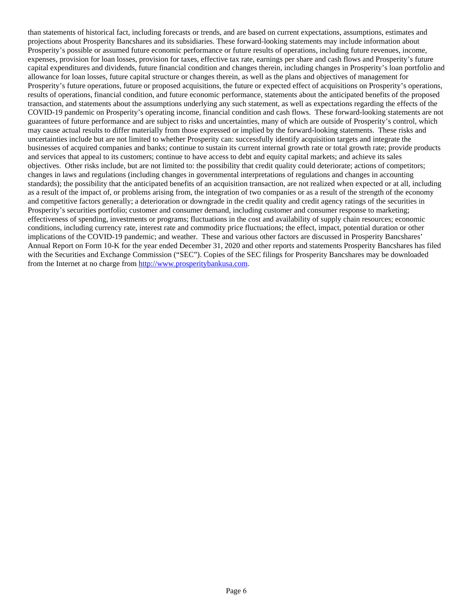than statements of historical fact, including forecasts or trends, and are based on current expectations, assumptions, estimates and projections about Prosperity Bancshares and its subsidiaries. These forward-looking statements may include information about Prosperity's possible or assumed future economic performance or future results of operations, including future revenues, income, expenses, provision for loan losses, provision for taxes, effective tax rate, earnings per share and cash flows and Prosperity's future capital expenditures and dividends, future financial condition and changes therein, including changes in Prosperity's loan portfolio and allowance for loan losses, future capital structure or changes therein, as well as the plans and objectives of management for Prosperity's future operations, future or proposed acquisitions, the future or expected effect of acquisitions on Prosperity's operations, results of operations, financial condition, and future economic performance, statements about the anticipated benefits of the proposed transaction, and statements about the assumptions underlying any such statement, as well as expectations regarding the effects of the COVID-19 pandemic on Prosperity's operating income, financial condition and cash flows. These forward-looking statements are not guarantees of future performance and are subject to risks and uncertainties, many of which are outside of Prosperity's control, which may cause actual results to differ materially from those expressed or implied by the forward-looking statements. These risks and uncertainties include but are not limited to whether Prosperity can: successfully identify acquisition targets and integrate the businesses of acquired companies and banks; continue to sustain its current internal growth rate or total growth rate; provide products and services that appeal to its customers; continue to have access to debt and equity capital markets; and achieve its sales objectives. Other risks include, but are not limited to: the possibility that credit quality could deteriorate; actions of competitors; changes in laws and regulations (including changes in governmental interpretations of regulations and changes in accounting standards); the possibility that the anticipated benefits of an acquisition transaction, are not realized when expected or at all, including as a result of the impact of, or problems arising from, the integration of two companies or as a result of the strength of the economy and competitive factors generally; a deterioration or downgrade in the credit quality and credit agency ratings of the securities in Prosperity's securities portfolio; customer and consumer demand, including customer and consumer response to marketing; effectiveness of spending, investments or programs; fluctuations in the cost and availability of supply chain resources; economic conditions, including currency rate, interest rate and commodity price fluctuations; the effect, impact, potential duration or other implications of the COVID-19 pandemic; and weather. These and various other factors are discussed in Prosperity Bancshares' Annual Report on Form 10-K for the year ended December 31, 2020 and other reports and statements Prosperity Bancshares has filed with the Securities and Exchange Commission ("SEC"). Copies of the SEC filings for Prosperity Bancshares may be downloaded from the Internet at no charge from [http://www.prosperitybankusa.com.](http://www.prosperitybankusa.com/)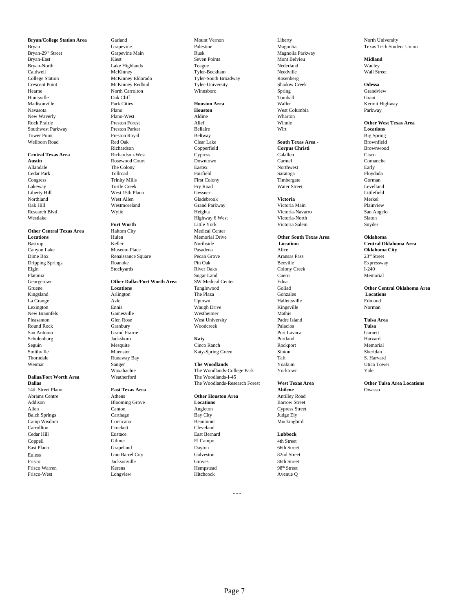Huntsville Oak Cliff Tomball Grant Madisonville **Rank Cities** Park Cities **Houston Area** Waller Waller Waller Kermit Highway Navasota Plano **Houston** West Columbia Parkway New Waverly **Plano-West Plano-West** Aldine **Altime Wharton** Rock Prairie **Other West Texas Area**<br>
Rock Prairie **Preston Forest Alief Minnie Minnie Constant Preston Parker Bellaire Bellaire Preston Parker Bellaire Bellaire Preston Parker Bellaire Preston Parker Bellaire <b>Decations** Southwest Parkway **Preston Parker Bellaire** Bellaire Wirt Wirt **Locations** Tower Point **Preston Royal Beltway** Beltway Beltway Beltway Beltway Beltway Big Spring

San Antonio Cram Grand Prairie Cram Contents and Carnett Carnett Carnett Carnett Carnett Carnett Carnett Carnett Carnett Carnett Carnett Carnett Carnett Carnett Carnett Carnett Carnett Carnett Carnett Carnett Carnett Carne Schulenburg **International State of Tacksboro Katy Katy** Portland Portland Harvard Harvard Reporters and Harvard Seguin Mesquite Cinco Ranch Rockport Memorial Smithville Muenster Katy-Spring Green Sinton Sheridan Thorndale Same Runaway Bay Same Service Controllers and the S. Harvard S. Harvard S. Harvard S. Harvard S. Harvard

## **Dallas/Fort Worth Area**

14th Street Plano **East Texas Area Abilene** Owasso Abrams Centre **Athens**<br>
Addison **Other Houston Area** Antilley Road<br> **Addison Barrow Street Booming Grove <b>Continue** Crystal Control Control Control Control Control Control Control Control Control Control Control Control Co Addison **Blooming Grove Locations** Barrow Street **Allen** Barrow Street **Allen** Cypress Street **Canton** Allen Canton Angleton Cypress Street Balch Springs **State Carthage Carthage** Bay City Bay City **Base Carthage** Bay City Camp Wisdom Corsicana Corsicana Beaumont Mockingbird<br>Carrollton Corsicana Chronic Chronic Chronic Chronic Chronic Chronic Chronic Chronic Chronic Chronic Chronic Chronic Chronic Chronic Chronic Chronic Chronic Chronic Chro Carrollton Crockett Cleveland Cedar Hill **Eustace East Bernard Eubbock**<br>
Coppell Gilmer El Campo 4th Street Coppell Gilmer El Campo 4th Street East Plano Grapeland Dayton 66th Street Euless Gun Barrel City Galveston 82nd Street Frisco Jacksonville Groves 86th Street Frisco Warren 198<sup>th</sup> Street Kerens **Hempstead** 198<sup>th</sup> Street Frisco-West Longview Hitchcock Avenue Q

**Austin** Rosewood Court<br> **Allandale** The Colony

Canyon Lake **Museum Place Rasadena** Pasadena Alice Alice Alice **Oklahoma City** Dime Box **Renaissance Square** Pecan Grove **Pecan Grove** Aransas Pass 23<sup>rd</sup> Street Dripping Springs 23<sup>rd</sup> Street Pecan Grove Pin Oak Beeville Box Expressway Dripping Springs The Roanoke Roanoke Pin Oak Beeville Beeville Expressway

**Bryan/College Station Area** Carland Garland Mount Vernon Liberty Liberty North University<br>
Bryan Creas Tech Student Crapevine Palestine Palestine Magnolia Magnolia Texas Tech Student Bryan Grapevine Branch Palestine Palestine Magnolia Magnolia Texas Tech Student Union<br>Bryan-29<sup>th</sup> Street Grapevine Main Rusk Rusk Magnolia Parkway Bryan-29<sup>th</sup> Street Grapevine Main Rusk Rusk Rusk Magnolia Parkway<br>Bryan-East Mont Belvieu Bryan-East **Kiest Kiest Seven Points Seven Points** Mont Belvieu **Midland** Bryan-North **Example 1** and Lake Highlands Teague Teague Nederland Nederland Wadley Caldwell McKinney Tyler-Beckham Needville Wall Street College Station McKinney Eldorado Tyler-South Broadway Rosenberg<br>
Crescent Point McKinney Redbud Tyler-University Shadow Creek McKinney Redbud Tyler-University Shadow Creek **Odessa** Hearne North Carrolton Winnsboro Spring Grandview

Wellborn Road Red Oak Clear Lake **South Texas Area -** Brownfield Richardson Copperfield **Corpus Christi** Brownwood **Central Texas Area** Richardson-West Cypress Calallen Cisco Allandale The Colony Eastex Northwest Early Cedar Park Tollroad Fairfield Saratoga Floydada Congress Trinity Mills First Colony First Colony Timbergate Corman Gorman Lakeway Turtle Creek Fry Road Water Street Levelland Liberty Hill West 15th Plano Gessner Littlefield Northland West Allen Gladebrook **Victoria** Merkel Oak Hill Westmoreland Grand Parkway Victoria Main Plainview Research Blvd San Angelo (Wylie New York Heights Victoria-Navarro San Angelo San Angelo Westlake Sharehouse Highway 6 West Nictoria-North Slaton Slaton Slaton Slaton Slaton Slaton Slaton Slaton Slaton Slaton Slaton Slaton Slaton Slaton Slaton Slaton Slaton Slaton Slaton Slaton Slaton Slaton Slaton Slaton Slat **Fort Worth** Snyder Community Little York Victoria Salem Snyder Snyder **Other Central Texas Area** Haltom City **Medical Center Constants Area** Hulen Memorial Drive Elgin Stockyards River Oaks Colony Creek I-240 Flatonia Sugar Land Cuero Memorial Georgetown **Other Dallas/Fort Worth Area** SW Medical Center Edna Gruene **Constant Center** Edna Coliad Center **Constant Center** Coliad Center **Coliad** Coliad Center **Coliad** Center **Coliad** Center **Coliad** Center **Coliad** C Kingsland **Arlington** Architecture Conzales **Locations** The Plaza **Gonzales** Gonzales **Locations** La Grange Azle Uptown Hallettsville Edmond Lexington Ennis Waugh Drive Kingsville Norman New Braunfels Gainesville Westheimer Mathis Pleasanton **Clen Rose** Glen Rose West University **Padre Island** Padre Island **Tulsa Area** Round Rock Granbury Woodcreek Palacios **Tulsa**

## Weimar **The Woodlands** Sanger **The Woodlands** The Woodlands The Woodlands Sanger The Woodlands The Woodlands The Woodlands The Woodlands The Woodlands The Woodlands The Woodlands The Woodlands The Woodlands The Woodlands T

Waxahachie The Woodlands-College Park Yorktown Yale

## **Locations** Memorial Drive **Other South Texas Area Collahoma**<br> **Acception** Bastrop **Central Olympic Central Oriental Drive Central Oriental Oriental Oriental Oriental Oriental Oriental Oriental Oriental Oriental Oriental**

Bastrop Keller Northside **Locations Central Oklahoma Area**

# Gruene **Calculations** Calculations Tanglewood **Coliad** Goliad **Other Central Oklahoma Area**<br> **Coliad Contral October Central Oklahoma Area**<br> **Contral October Central Oklahoma Area**<br> **Contral October Central Oklahoma Area**

**Dallas** The Woodlands-Research Forest **West Texas Area Constanting Other Tulsa Area Locations**<br>
14th Street Plano **Company Company Research Abilene** Abilene **Abilene** Owasso

- - -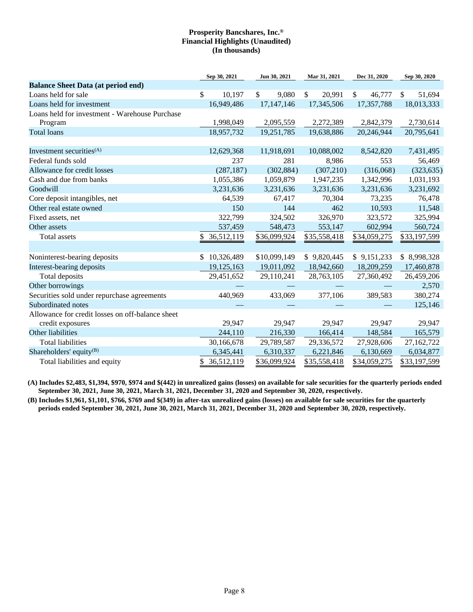|                                                  | Sep 30, 2021     | Jun 30, 2021 | Mar 31, 2021           | Dec 31, 2020 | Sep 30, 2020 |
|--------------------------------------------------|------------------|--------------|------------------------|--------------|--------------|
| <b>Balance Sheet Data (at period end)</b>        |                  |              |                        |              |              |
| Loans held for sale                              | \$<br>10,197     | \$<br>9,080  | $\mathbb{S}$<br>20,991 | \$<br>46,777 | \$<br>51,694 |
| Loans held for investment                        | 16,949,486       | 17,147,146   | 17,345,506             | 17,357,788   | 18,013,333   |
| Loans held for investment - Warehouse Purchase   |                  |              |                        |              |              |
| Program                                          | 1,998,049        | 2,095,559    | 2,272,389              | 2,842,379    | 2,730,614    |
| <b>Total loans</b>                               | 18,957,732       | 19,251,785   | 19,638,886             | 20,246,944   | 20,795,641   |
|                                                  |                  |              |                        |              |              |
| Investment securities <sup>(A)</sup>             | 12,629,368       | 11,918,691   | 10,088,002             | 8,542,820    | 7,431,495    |
| Federal funds sold                               | 237              | 281          | 8,986                  | 553          | 56,469       |
| Allowance for credit losses                      | (287, 187)       | (302, 884)   | (307, 210)             | (316,068)    | (323, 635)   |
| Cash and due from banks                          | 1,055,386        | 1,059,879    | 1,947,235              | 1,342,996    | 1,031,193    |
| Goodwill                                         | 3,231,636        | 3,231,636    | 3,231,636              | 3,231,636    | 3,231,692    |
| Core deposit intangibles, net                    | 64,539           | 67,417       | 70,304                 | 73,235       | 76,478       |
| Other real estate owned                          | 150              | 144          | 462                    | 10,593       | 11,548       |
| Fixed assets, net                                | 322,799          | 324,502      | 326,970                | 323,572      | 325,994      |
| Other assets                                     | 537,459          | 548,473      | 553,147                | 602,994      | 560,724      |
| Total assets                                     | \$36,512,119     | \$36,099,924 | \$35,558,418           | \$34,059,275 | \$33,197,599 |
|                                                  |                  |              |                        |              |              |
| Noninterest-bearing deposits                     | 10,326,489<br>\$ | \$10,099,149 | \$9,820,445            | \$9,151,233  | \$8,998,328  |
| Interest-bearing deposits                        | 19,125,163       | 19,011,092   | 18,942,660             | 18,209,259   | 17,460,878   |
| Total deposits                                   | 29,451,652       | 29,110,241   | 28,763,105             | 27,360,492   | 26,459,206   |
| Other borrowings                                 |                  |              |                        |              | 2,570        |
| Securities sold under repurchase agreements      | 440,969          | 433,069      | 377,106                | 389,583      | 380,274      |
| Subordinated notes                               |                  |              |                        |              | 125,146      |
| Allowance for credit losses on off-balance sheet |                  |              |                        |              |              |
| credit exposures                                 | 29,947           | 29,947       | 29,947                 | 29,947       | 29,947       |
| Other liabilities                                | 244,110          | 216,330      | 166,414                | 148,584      | 165,579      |
| <b>Total liabilities</b>                         | 30,166,678       | 29,789,587   | 29,336,572             | 27,928,606   | 27,162,722   |
| Shareholders' equity <sup>(B)</sup>              | 6,345,441        | 6,310,337    | 6,221,846              | 6,130,669    | 6,034,877    |
| Total liabilities and equity                     | \$36,512,119     | \$36,099,924 | \$35,558,418           | \$34,059,275 | \$33,197,599 |

**(A) Includes \$2,483, \$1,394, \$970, \$974 and \$(442) in unrealized gains (losses) on available for sale securities for the quarterly periods ended September 30, 2021, June 30, 2021, March 31, 2021, December 31, 2020 and September 30, 2020, respectively.**

**(B) Includes \$1,961, \$1,101, \$766, \$769 and \$(349) in after-tax unrealized gains (losses) on available for sale securities for the quarterly periods ended September 30, 2021, June 30, 2021, March 31, 2021, December 31, 2020 and September 30, 2020, respectively.**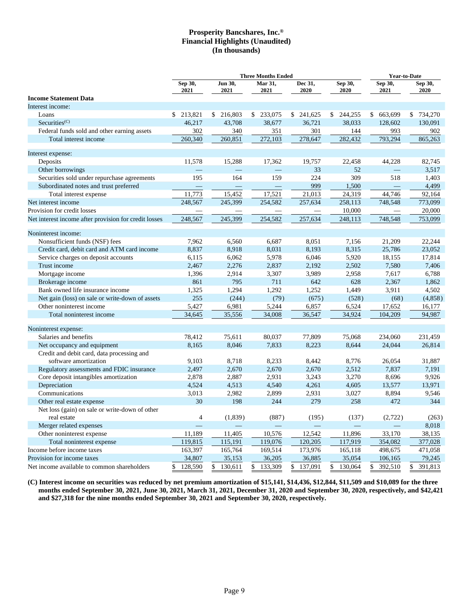|                                                               |                 |                 | <b>Three Months Ended</b> |                          |                 |                          | <b>Year-to-Date</b> |  |  |
|---------------------------------------------------------------|-----------------|-----------------|---------------------------|--------------------------|-----------------|--------------------------|---------------------|--|--|
|                                                               | Sep 30,<br>2021 | Jun 30,<br>2021 | Mar 31,<br>2021           | Dec 31,<br>2020          | Sep 30,<br>2020 | Sep 30,<br>2021          | Sep 30,<br>2020     |  |  |
| <b>Income Statement Data</b>                                  |                 |                 |                           |                          |                 |                          |                     |  |  |
| Interest income:                                              |                 |                 |                           |                          |                 |                          |                     |  |  |
| Loans                                                         | \$ 213,821      | \$216,803       | \$ 233,075                | \$241,625                | \$244,255       | \$663,699                | \$734,270           |  |  |
| Securities <sup>(C)</sup>                                     | 46,217          | 43,708          | 38,677                    | 36,721                   | 38,033          | 128,602                  | 130,091             |  |  |
| Federal funds sold and other earning assets                   | 302             | 340             | 351                       | 301                      | 144             | 993                      | 902                 |  |  |
| Total interest income                                         | 260,340         | 260,851         | 272,103                   | 278,647                  | 282,432         | 793,294                  | 865,263             |  |  |
| Interest expense:                                             |                 |                 |                           |                          |                 |                          |                     |  |  |
| Deposits                                                      | 11,578          | 15,288          | 17,362                    | 19,757                   | 22,458          | 44,228                   | 82,745              |  |  |
| Other borrowings                                              |                 |                 |                           | 33                       | 52              |                          | 3,517               |  |  |
| Securities sold under repurchase agreements                   | 195             | 164             | 159                       | 224                      | 309             | 518                      | 1,403               |  |  |
| Subordinated notes and trust preferred                        |                 |                 |                           | 999                      | 1,500           |                          | 4,499               |  |  |
| Total interest expense                                        | 11,773          | 15,452          | 17,521                    | 21,013                   | 24,319          | 44,746                   | 92,164              |  |  |
| Net interest income                                           | 248,567         | 245,399         | 254,582                   | 257,634                  | 258,113         | 748.548                  | 773,099             |  |  |
| Provision for credit losses                                   |                 |                 |                           | $\overline{\phantom{a}}$ | 10,000          | $\overline{\phantom{0}}$ | 20,000              |  |  |
| Net interest income after provision for credit losses         | 248,567         | 245,399         | 254,582                   | 257,634                  | 248,113         | 748,548                  | 753,099             |  |  |
| Noninterest income:                                           |                 |                 |                           |                          |                 |                          |                     |  |  |
| Nonsufficient funds (NSF) fees                                | 7,962           | 6,560           | 6,687                     | 8,051                    | 7,156           | 21,209                   | 22,244              |  |  |
| Credit card, debit card and ATM card income                   | 8,837           | 8,918           | 8,031                     | 8,193                    | 8,315           | 25,786                   | 23,052              |  |  |
| Service charges on deposit accounts                           | 6,115           | 6,062           | 5,978                     | 6,046                    | 5,920           | 18,155                   | 17,814              |  |  |
| Trust income                                                  | 2,467           | 2,276           | 2,837                     | 2,192                    | 2,502           | 7,580                    | 7,406               |  |  |
| Mortgage income                                               | 1,396           | 2,914           | 3,307                     | 3,989                    | 2,958           | 7,617                    | 6,788               |  |  |
| Brokerage income                                              | 861             | 795             | 711                       | 642                      | 628             | 2,367                    | 1,862               |  |  |
| Bank owned life insurance income                              | 1,325           | 1,294           | 1,292                     | 1,252                    | 1,449           | 3,911                    | 4,502               |  |  |
| Net gain (loss) on sale or write-down of assets               | 255             | (244)           | (79)                      | (675)                    | (528)           | (68)                     | (4,858)             |  |  |
| Other noninterest income                                      | 5,427           | 6,981           | 5,244                     | 6,857                    | 6,524           | 17,652                   | 16,177              |  |  |
| Total noninterest income                                      | 34,645          | 35,556          | 34,008                    | 36,547                   | 34,924          | 104,209                  | 94,987              |  |  |
| Noninterest expense:                                          |                 |                 |                           |                          |                 |                          |                     |  |  |
| Salaries and benefits                                         | 78,412          | 75,611          | 80,037                    | 77,809                   | 75,068          | 234,060                  | 231,459             |  |  |
| Net occupancy and equipment                                   | 8,165           | 8,046           | 7,833                     | 8,223                    | 8,644           | 24,044                   | 26,814              |  |  |
| Credit and debit card, data processing and                    |                 |                 |                           |                          |                 |                          |                     |  |  |
| software amortization                                         | 9,103           | 8,718           | 8,233                     | 8,442                    | 8,776           | 26,054                   | 31,887              |  |  |
| Regulatory assessments and FDIC insurance                     | 2,497           | 2,670           | 2,670                     | 2,670                    | 2,512           | 7,837                    | 7,191               |  |  |
| Core deposit intangibles amortization                         | 2,878           | 2,887           | 2,931                     | 3,243                    | 3,270           | 8,696                    | 9,926               |  |  |
| Depreciation                                                  | 4,524           | 4,513           | 4,540                     | 4,261                    | 4,605           | 13,577                   | 13,971              |  |  |
| Communications                                                | 3,013           | 2,982           | 2,899                     | 2,931                    | 3,027           | 8,894                    | 9,546               |  |  |
| Other real estate expense                                     | 30              | 198             | 244                       | 279                      | 258             | 472                      | 344                 |  |  |
| Net loss (gain) on sale or write-down of other<br>real estate | $\overline{4}$  | (1,839)         | (887)                     | (195)                    | (137)           | (2,722)                  | (263)               |  |  |
| Merger related expenses                                       |                 |                 |                           |                          |                 |                          | 8,018               |  |  |
| Other noninterest expense                                     | 11,189          | 11,405          | 10,576                    | 12,542                   | 11,896          | 33,170                   | 38,135              |  |  |
| Total noninterest expense                                     | 119,815         | 115,191         | 119,076                   | 120,205                  | 117,919         | 354,082                  | 377,028             |  |  |
| Income before income taxes                                    | 163,397         | 165,764         | 169,514                   | 173,976                  | 165,118         | 498,675                  | 471,058             |  |  |
| Provision for income taxes                                    | 34,807          | 35,153          | 36,205                    | 36,885                   | 35,054          | 106,165                  | 79,245              |  |  |
| Net income available to common shareholders                   | \$128,590       | \$130,611       | \$133,309                 | \$137,091                | \$130,064       | \$<br>392,510            | \$<br>391,813       |  |  |

**(C) Interest income on securities was reduced by net premium amortization of \$15,141, \$14,436, \$12,844, \$11,509 and \$10,089 for the three months ended September 30, 2021, June 30, 2021, March 31, 2021, December 31, 2020 and September 30, 2020, respectively, and \$42,421 and \$27,318 for the nine months ended September 30, 2021 and September 30, 2020, respectively.**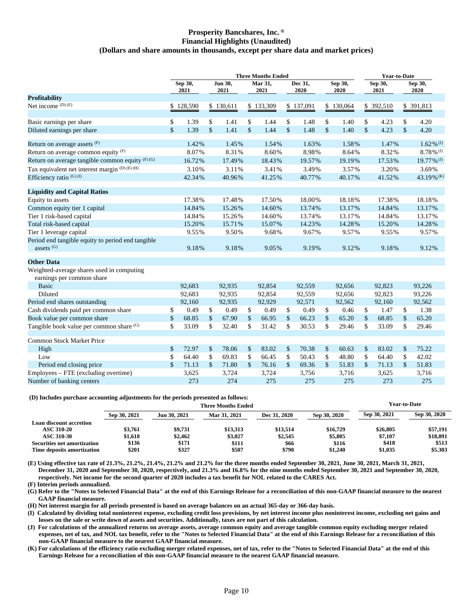## **Prosperity Bancshares, Inc. ® Financial Highlights (Unaudited) (Dollars and share amounts in thousands, except per share data and market prices)**

|                                                                            |               |                 |               |                 | <b>Three Months Ended</b> |                    |                 |                    |                 |                    | <b>Year-to-Date</b> |               |                          |
|----------------------------------------------------------------------------|---------------|-----------------|---------------|-----------------|---------------------------|--------------------|-----------------|--------------------|-----------------|--------------------|---------------------|---------------|--------------------------|
|                                                                            |               | Sep 30,<br>2021 |               | Jun 30,<br>2021 | Mar 31,<br>2021           |                    | Dec 31,<br>2020 |                    | Sep 30,<br>2020 |                    | Sep 30,<br>2021     |               | Sep 30,<br>2020          |
| <b>Profitability</b>                                                       |               |                 |               |                 |                           |                    |                 |                    |                 |                    |                     |               |                          |
| Net income $(D)$ (E)                                                       |               | \$128,590       |               | \$130,611       | \$133,309                 |                    | \$137,091       |                    | \$130,064       |                    | \$ 392,510          |               | \$ 391,813               |
| Basic earnings per share                                                   | \$            | 1.39            | \$            | 1.41            | \$<br>1.44                | \$                 | 1.48            | \$                 | 1.40            | \$                 | 4.23                | \$            | 4.20                     |
| Diluted earnings per share                                                 | \$            | 1.39            | \$            | 1.41            | \$<br>1.44                | \$                 | 1.48            | $\mathbb{S}$       | 1.40            | $\mathbf{\hat{S}}$ | 4.23                | $\mathsf{\$}$ | 4.20                     |
| Return on average assets (F)                                               |               | 1.42%           |               | 1.45%           | 1.54%                     |                    | 1.63%           |                    | 1.58%           |                    | 1.47%               |               | $1.62\%$ <sup>(J)</sup>  |
| Return on average common equity (F)                                        |               | 8.07%           |               | 8.31%           | 8.60%                     |                    | 8.98%           |                    | 8.64%           |                    | 8.32%               |               | $8.78\%$ <sup>(J)</sup>  |
| Return on average tangible common equity $(F)$ (G)                         |               | 16.72%          |               | 17.49%          | 18.43%                    |                    | 19.57%          |                    | 19.19%          |                    | 17.53%              |               | $19.77\%$ <sup>(J)</sup> |
| Tax equivalent net interest margin (D)(E)(H)                               |               | 3.10%           |               | 3.11%           | 3.41%                     |                    | 3.49%           |                    | 3.57%           |                    | 3.20%               |               | 3.69%                    |
| Efficiency ratio <sup>(G)(I)</sup>                                         |               | 42.34%          |               | 40.96%          | 41.25%                    |                    | 40.77%          |                    | 40.17%          |                    | 41.52%              |               | 43.19% (K)               |
| <b>Liquidity and Capital Ratios</b>                                        |               |                 |               |                 |                           |                    |                 |                    |                 |                    |                     |               |                          |
| Equity to assets                                                           |               | 17.38%          |               | 17.48%          | 17.50%                    |                    | 18.00%          |                    | 18.18%          |                    | 17.38%              |               | 18.18%                   |
| Common equity tier 1 capital                                               |               | 14.84%          |               | 15.26%          | 14.60%                    |                    | 13.74%          |                    | 13.17%          |                    | 14.84%              |               | 13.17%                   |
| Tier 1 risk-based capital                                                  |               | 14.84%          |               | 15.26%          | 14.60%                    |                    | 13.74%          |                    | 13.17%          |                    | 14.84%              |               | 13.17%                   |
| Total risk-based capital                                                   |               | 15.20%          |               | 15.71%          | 15.07%                    |                    | 14.23%          |                    | 14.28%          |                    | 15.20%              |               | 14.28%                   |
| Tier 1 leverage capital                                                    |               | 9.55%           |               | 9.50%           | 9.68%                     |                    | 9.67%           |                    | 9.57%           |                    | 9.55%               |               | 9.57%                    |
| Period end tangible equity to period end tangible<br>assets <sup>(G)</sup> |               | 9.18%           |               | 9.18%           | 9.05%                     |                    | 9.19%           |                    | 9.12%           |                    | 9.18%               |               | 9.12%                    |
| <b>Other Data</b>                                                          |               |                 |               |                 |                           |                    |                 |                    |                 |                    |                     |               |                          |
| Weighted-average shares used in computing<br>earnings per common share     |               |                 |               |                 |                           |                    |                 |                    |                 |                    |                     |               |                          |
| <b>Basic</b>                                                               |               | 92,683          |               | 92,935          | 92,854                    |                    | 92,559          |                    | 92,656          |                    | 92,823              |               | 93,226                   |
| Diluted                                                                    |               | 92,683          |               | 92,935          | 92,854                    |                    | 92,559          |                    | 92,656          |                    | 92,823              |               | 93,226                   |
| Period end shares outstanding                                              |               | 92,160          |               | 92,935          | 92,929                    |                    | 92,571          |                    | 92,562          |                    | 92,160              |               | 92,562                   |
| Cash dividends paid per common share                                       | \$            | 0.49            | \$            | 0.49            | \$<br>0.49                | \$                 | 0.49            | \$                 | 0.46            | \$                 | 1.47                | \$            | 1.38                     |
| Book value per common share                                                | $\mathcal{S}$ | 68.85           | $\mathsf{\$}$ | 67.90           | \$<br>66.95               | $\mathbb{S}$       | 66.23           | $\mathbb{S}$       | 65.20           | \$                 | 68.85               | \$            | 65.20                    |
| Tangible book value per common share (G)                                   | \$            | 33.09           | \$            | 32.40           | \$<br>31.42               | \$                 | 30.53           | \$                 | 29.46           | \$                 | 33.09               | \$            | 29.46                    |
| <b>Common Stock Market Price</b>                                           |               |                 |               |                 |                           |                    |                 |                    |                 |                    |                     |               |                          |
| High                                                                       | \$            | 72.97           | \$            | 78.06           | \$<br>83.02               | \$                 | 70.38           | \$                 | 60.63           | \$                 | 83.02               | \$            | 75.22                    |
| Low                                                                        | \$            | 64.40           | \$            | 69.83           | \$<br>66.45               | \$                 | 50.43           | \$                 | 48.80           | \$                 | 64.40               | \$            | 42.02                    |
| Period end closing price                                                   | $\mathsf{\$}$ | 71.13           | $\mathsf{\$}$ | 71.80           | \$<br>76.16               | $\mathbf{\hat{S}}$ | 69.36           | $\mathbf{\hat{S}}$ | 51.83           | $\mathbf{\$}$      | 71.13               | \$            | 51.83                    |
| Employees – FTE (excluding overtime)                                       |               | 3,625           |               | 3,724           | 3,724                     |                    | 3,756           |                    | 3,716           |                    | 3,625               |               | 3,716                    |
| Number of banking centers                                                  |               | 273             |               | 274             | 275                       |                    | 275             |                    | 275             |                    | 273                 |               | 275                      |

## **(D) Includes purchase accounting adjustments for the periods presented as follows:**

|                                    |              |              | Three Months Ended |              |              |              | <b>Year-to-Date</b> |
|------------------------------------|--------------|--------------|--------------------|--------------|--------------|--------------|---------------------|
|                                    | Sep 30, 2021 | Jun 30, 2021 | Mar 31, 2021       | Dec 31, 2020 | Sep 30, 2020 | Sep 30, 2021 | Sep 30, 2020        |
| Loan discount accretion            |              |              |                    |              |              |              |                     |
| <b>ASC 310-20</b>                  | \$3.761      | \$9,731      | \$13,313           | \$13.514     | \$16,729     | \$26,805     | \$57,191            |
| <b>ASC 310-30</b>                  | \$1,618      | \$2,462      | \$3,027            | \$2,545      | \$5,805      | \$7,107      | \$18,091            |
| <b>Securities net amortization</b> | \$136        | \$171        | \$111              | \$66         | \$116        | \$418        | \$513               |
| Time deposits amortization         | \$201        | \$327        | \$507              | \$790        | \$1,240      | \$1.035      | \$5.303             |

**(E) Using effective tax rate of 21.3%, 21.2%, 21.4%, 21.2% and 21.2% for the three months ended September 30, 2021, June 30, 2021, March 31, 2021, December 31, 2020 and September 30, 2020, respectively, and 21.3% and 16.8% for the nine months ended September 30, 2021 and September 30, 2020, respectively. Net income for the second quarter of 2020 includes a tax benefit for NOL related to the CARES Act.**

**(F) Interim periods annualized.**

**(G) Refer to the "Notes to Selected Financial Data" at the end of this Earnings Release for a reconciliation of this non-GAAP financial measure to the nearest GAAP financial measure.**

**(H) Net interest margin for all periods presented is based on average balances on an actual 365-day or 366-day basis.**

**(I) Calculated by dividing total noninterest expense, excluding credit loss provisions, by net interest income plus noninterest income, excluding net gains and losses on the sale or write down of assets and securities. Additionally, taxes are not part of this calculation.**

**(J) For calculations of the annualized returns on average assets, average common equity and average tangible common equity excluding merger related expenses, net of tax, and NOL tax benefit, refer to the "Notes to Selected Financial Data" at the end of this Earnings Release for a reconciliation of this non-GAAP financial measure to the nearest GAAP financial measure.**

**(K) For calculations of the efficiency ratio excluding merger related expenses, net of tax, refer to the "Notes to Selected Financial Data" at the end of this Earnings Release for a reconciliation of this non-GAAP financial measure to the nearest GAAP financial measure.**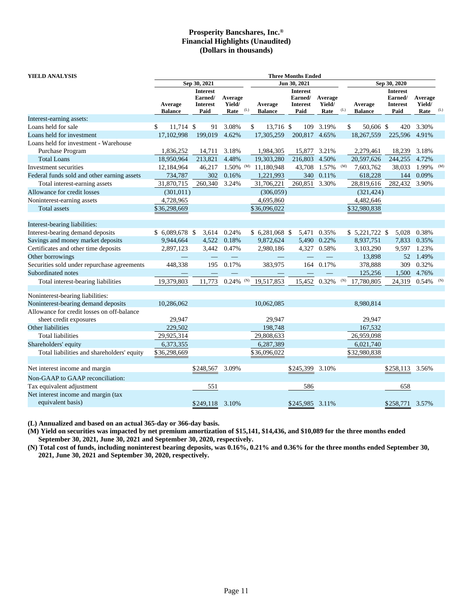| YIELD ANALYSIS                              |                           |                                                       |                           |     | <b>Three Months Ended</b> |                                                       |                           |     |                           |                                                       |                           |     |  |
|---------------------------------------------|---------------------------|-------------------------------------------------------|---------------------------|-----|---------------------------|-------------------------------------------------------|---------------------------|-----|---------------------------|-------------------------------------------------------|---------------------------|-----|--|
|                                             |                           | Sep 30, 2021                                          |                           |     |                           | Jun 30, 2021                                          |                           |     |                           | Sep 30, 2020                                          |                           |     |  |
|                                             | Average<br><b>Balance</b> | <b>Interest</b><br>Earned/<br><b>Interest</b><br>Paid | Average<br>Yield/<br>Rate | (L) | Average<br><b>Balance</b> | <b>Interest</b><br>Earned/<br><b>Interest</b><br>Paid | Average<br>Yield/<br>Rate | (L) | Average<br><b>Balance</b> | <b>Interest</b><br>Earned/<br><b>Interest</b><br>Paid | Average<br>Yield/<br>Rate | (L) |  |
| Interest-earning assets:                    |                           |                                                       |                           |     |                           |                                                       |                           |     |                           |                                                       |                           |     |  |
| Loans held for sale                         | \$<br>11,714 \$           | 91                                                    | 3.08%                     |     | \$<br>13,716 \$           | 109                                                   | 3.19%                     |     | \$<br>50,606 \$           | 420                                                   | 3.30%                     |     |  |
| Loans held for investment                   | 17,102,998                | 199,019                                               | 4.62%                     |     | 17,305,259                | 200,817 4.65%                                         |                           |     | 18,267,559                | 225,596                                               | 4.91%                     |     |  |
| Loans held for investment - Warehouse       |                           |                                                       |                           |     |                           |                                                       |                           |     |                           |                                                       |                           |     |  |
| Purchase Program                            | 1,836,252                 | 14,711                                                | 3.18%                     |     | 1,984,305                 | 15,877                                                | 3.21%                     |     | 2,279,461                 | 18,239                                                | 3.18%                     |     |  |
| <b>Total Loans</b>                          | 18,950,964                | 213,821                                               | 4.48%                     |     | 19,303,280                | 216,803                                               | 4.50%                     |     | 20,597,626                | 244,255                                               | 4.72%                     |     |  |
| Investment securities                       | 12,184,964                | 46,217                                                | $1.50\%$ (M)              |     | 11,180,948                | 43,708                                                | 1.57%                     | (M) | 7,603,762                 | 38,033                                                | 1.99%                     | (M) |  |
| Federal funds sold and other earning assets | 734,787                   | 302                                                   | 0.16%                     |     | 1,221,993                 | 340                                                   | 0.11%                     |     | 618,228                   | 144                                                   | 0.09%                     |     |  |
| Total interest-earning assets               | 31,870,715                | 260,340                                               | 3.24%                     |     | 31,706,221                | 260,851                                               | 3.30%                     |     | 28,819,616                | 282,432                                               | 3.90%                     |     |  |
| Allowance for credit losses                 | (301, 011)                |                                                       |                           |     | (306, 059)                |                                                       |                           |     | (321, 424)                |                                                       |                           |     |  |
| Noninterest-earning assets                  | 4,728,965                 |                                                       |                           |     | 4,695,860                 |                                                       |                           |     | 4,482,646                 |                                                       |                           |     |  |
| Total assets                                | \$36,298,669              |                                                       |                           |     | \$36,096,022              |                                                       |                           |     | \$32,980,838              |                                                       |                           |     |  |
| Interest-bearing liabilities:               |                           |                                                       |                           |     |                           |                                                       |                           |     |                           |                                                       |                           |     |  |
| Interest-bearing demand deposits            | $$6,089,678$ \$           | 3,614                                                 | 0.24%                     |     | $$6,281,068$ \$           |                                                       | 5,471 0.35%               |     | $$5,221,722$ \$           | 5,028                                                 | 0.38%                     |     |  |
| Savings and money market deposits           | 9,944,664                 | 4,522                                                 | 0.18%                     |     | 9,872,624                 |                                                       | 5,490 0.22%               |     | 8,937,751                 | 7,833                                                 | 0.35%                     |     |  |
| Certificates and other time deposits        | 2,897,123                 | 3,442                                                 | 0.47%                     |     | 2,980,186                 |                                                       | 4,327 0.58%               |     | 3,103,290                 | 9,597                                                 | 1.23%                     |     |  |
| Other borrowings                            |                           |                                                       |                           |     |                           |                                                       |                           |     | 13,898                    | 52                                                    | 1.49%                     |     |  |
| Securities sold under repurchase agreements | 448,338                   | 195                                                   | 0.17%                     |     | 383,975                   | 164                                                   | 0.17%                     |     | 378,888                   | 309                                                   | 0.32%                     |     |  |
| Subordinated notes                          |                           |                                                       |                           |     |                           |                                                       |                           |     | 125,256                   | 1,500                                                 | 4.76%                     |     |  |
| Total interest-bearing liabilities          | 19,379,803                | 11,773                                                | 0.24%                     | (N) | 19,517,853                | 15,452                                                | 0.32%                     | (N) | 17,780,805                | 24,319                                                | 0.54%                     | (N) |  |
| Noninterest-bearing liabilities:            |                           |                                                       |                           |     |                           |                                                       |                           |     |                           |                                                       |                           |     |  |
| Noninterest-bearing demand deposits         | 10,286,062                |                                                       |                           |     | 10,062,085                |                                                       |                           |     | 8,980,814                 |                                                       |                           |     |  |
| Allowance for credit losses on off-balance  |                           |                                                       |                           |     |                           |                                                       |                           |     |                           |                                                       |                           |     |  |
| sheet credit exposures                      | 29,947                    |                                                       |                           |     | 29,947                    |                                                       |                           |     | 29.947                    |                                                       |                           |     |  |
| Other liabilities                           | 229,502                   |                                                       |                           |     | 198,748                   |                                                       |                           |     | 167,532                   |                                                       |                           |     |  |
| <b>Total liabilities</b>                    | 29,925,314                |                                                       |                           |     | 29,808,633                |                                                       |                           |     | 26,959,098                |                                                       |                           |     |  |
| Shareholders' equity                        | 6,373,355                 |                                                       |                           |     | 6,287,389                 |                                                       |                           |     | 6,021,740                 |                                                       |                           |     |  |
| Total liabilities and shareholders' equity  | \$36,298,669              |                                                       |                           |     | \$36,096,022              |                                                       |                           |     | \$32,980,838              |                                                       |                           |     |  |
| Net interest income and margin              |                           | \$248,567                                             | 3.09%                     |     |                           | \$245,399                                             | 3.10%                     |     |                           | \$258,113                                             | 3.56%                     |     |  |
| Non-GAAP to GAAP reconciliation:            |                           |                                                       |                           |     |                           |                                                       |                           |     |                           |                                                       |                           |     |  |
| Tax equivalent adjustment                   |                           | 551                                                   |                           |     |                           | 586                                                   |                           |     |                           | 658                                                   |                           |     |  |
| Net interest income and margin (tax         |                           |                                                       |                           |     |                           |                                                       |                           |     |                           |                                                       |                           |     |  |
| equivalent basis)                           |                           | \$249,118                                             | 3.10%                     |     |                           | \$245,985 3.11%                                       |                           |     |                           | \$258,771                                             | 3.57%                     |     |  |

**(L) Annualized and based on an actual 365-day or 366-day basis.**

**(M) Yield on securities was impacted by net premium amortization of \$15,141, \$14,436, and \$10,089 for the three months ended September 30, 2021, June 30, 2021 and September 30, 2020, respectively.**

**(N) Total cost of funds, including noninterest bearing deposits, was 0.16%, 0.21% and 0.36% for the three months ended September 30, 2021, June 30, 2021 and September 30, 2020, respectively.**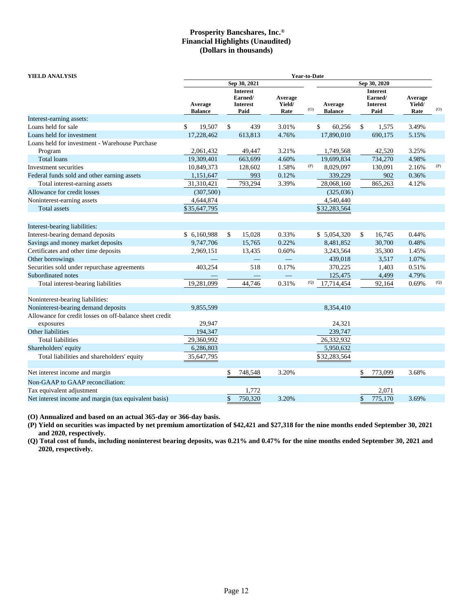**YIELD ANALYSIS Year-to-Date**

|                                                         |                           | Sep 30, 2021                                          |         |                           |                   | Sep 30, 2020              |    |                                                       |                           |                   |
|---------------------------------------------------------|---------------------------|-------------------------------------------------------|---------|---------------------------|-------------------|---------------------------|----|-------------------------------------------------------|---------------------------|-------------------|
|                                                         | Average<br><b>Balance</b> | <b>Interest</b><br>Earned/<br><b>Interest</b><br>Paid |         | Average<br>Yield/<br>Rate | (O)               | Average<br><b>Balance</b> |    | <b>Interest</b><br>Earned/<br><b>Interest</b><br>Paid | Average<br>Yield/<br>Rate | (O)               |
| Interest-earning assets:                                |                           |                                                       |         |                           |                   |                           |    |                                                       |                           |                   |
| Loans held for sale                                     | \$<br>19,507              | \$                                                    | 439     | 3.01%                     |                   | \$<br>60,256              | \$ | 1,575                                                 | 3.49%                     |                   |
| Loans held for investment                               | 17,228,462                |                                                       | 613,813 | 4.76%                     |                   | 17,890,010                |    | 690,175                                               | 5.15%                     |                   |
| Loans held for investment - Warehouse Purchase          |                           |                                                       |         |                           |                   |                           |    |                                                       |                           |                   |
| Program                                                 | 2,061,432                 |                                                       | 49,447  | 3.21%                     |                   | 1,749,568                 |    | 42,520                                                | 3.25%                     |                   |
| <b>Total loans</b>                                      | 19,309,401                |                                                       | 663,699 | 4.60%                     |                   | 19,699,834                |    | 734,270                                               | 4.98%                     |                   |
| Investment securities                                   | 10,849,373                |                                                       | 128,602 | 1.58%                     | (P)               | 8,029,097                 |    | 130,091                                               | 2.16%                     | (P)               |
| Federal funds sold and other earning assets             | 1,151,647                 |                                                       | 993     | 0.12%                     |                   | 339,229                   |    | 902                                                   | 0.36%                     |                   |
| Total interest-earning assets                           | 31,310,421                |                                                       | 793,294 | 3.39%                     |                   | 28,068,160                |    | 865,263                                               | 4.12%                     |                   |
| Allowance for credit losses                             | (307,500)                 |                                                       |         |                           |                   | (325,036)                 |    |                                                       |                           |                   |
| Noninterest-earning assets                              | 4,644,874                 |                                                       |         |                           |                   | 4,540,440                 |    |                                                       |                           |                   |
| <b>Total assets</b>                                     | \$35,647,795              |                                                       |         |                           |                   | \$32,283,564              |    |                                                       |                           |                   |
|                                                         |                           |                                                       |         |                           |                   |                           |    |                                                       |                           |                   |
| Interest-bearing liabilities:                           |                           |                                                       |         |                           |                   |                           |    |                                                       |                           |                   |
| Interest-bearing demand deposits                        | \$ 6,160,988              | \$                                                    | 15,028  | 0.33%                     |                   | \$ 5,054,320              | \$ | 16,745                                                | 0.44%                     |                   |
| Savings and money market deposits                       | 9,747,706                 |                                                       | 15,765  | 0.22%                     |                   | 8,481,852                 |    | 30,700                                                | 0.48%                     |                   |
| Certificates and other time deposits                    | 2,969,151                 |                                                       | 13,435  | 0.60%                     |                   | 3,243,564                 |    | 35,300                                                | 1.45%                     |                   |
| Other borrowings                                        |                           |                                                       |         |                           |                   | 439,018                   |    | 3,517                                                 | 1.07%                     |                   |
| Securities sold under repurchase agreements             | 403,254                   |                                                       | 518     | 0.17%                     |                   | 370,225                   |    | 1,403                                                 | 0.51%                     |                   |
| Subordinated notes                                      |                           |                                                       |         |                           |                   | 125,475                   |    | 4,499                                                 | 4.79%                     |                   |
| Total interest-bearing liabilities                      | 19,281,099                |                                                       | 44,746  | 0.31%                     | $\left( Q\right)$ | 17,714,454                |    | 92,164                                                | 0.69%                     | $\left( Q\right)$ |
|                                                         |                           |                                                       |         |                           |                   |                           |    |                                                       |                           |                   |
| Noninterest-bearing liabilities:                        |                           |                                                       |         |                           |                   |                           |    |                                                       |                           |                   |
| Noninterest-bearing demand deposits                     | 9,855,599                 |                                                       |         |                           |                   | 8,354,410                 |    |                                                       |                           |                   |
| Allowance for credit losses on off-balance sheet credit |                           |                                                       |         |                           |                   |                           |    |                                                       |                           |                   |
| exposures                                               | 29,947                    |                                                       |         |                           |                   | 24,321                    |    |                                                       |                           |                   |
| Other liabilities                                       | 194,347                   |                                                       |         |                           |                   | 239,747                   |    |                                                       |                           |                   |
| <b>Total liabilities</b>                                | 29,360,992                |                                                       |         |                           |                   | 26,332,932                |    |                                                       |                           |                   |
| Shareholders' equity                                    | 6,286,803                 |                                                       |         |                           |                   | 5,950,632                 |    |                                                       |                           |                   |
| Total liabilities and shareholders' equity              | 35,647,795                |                                                       |         |                           |                   | \$32,283,564              |    |                                                       |                           |                   |
| Net interest income and margin                          |                           | \$                                                    | 748,548 | 3.20%                     |                   |                           | \$ | 773,099                                               | 3.68%                     |                   |
| Non-GAAP to GAAP reconciliation:                        |                           |                                                       |         |                           |                   |                           |    |                                                       |                           |                   |
|                                                         |                           |                                                       |         |                           |                   |                           |    |                                                       |                           |                   |
| Tax equivalent adjustment                               |                           |                                                       | 1,772   |                           |                   |                           |    | 2.071                                                 |                           |                   |

**(O) Annualized and based on an actual 365-day or 366-day basis.**

**(P) Yield on securities was impacted by net premium amortization of \$42,421 and \$27,318 for the nine months ended September 30, 2021 and 2020, respectively.**

Net interest income and margin (tax equivalent basis)  $\frac{$}{20}$  750,320 3.20%  $\frac{$}{20}$  3.69%

**(Q) Total cost of funds, including noninterest bearing deposits, was 0.21% and 0.47% for the nine months ended September 30, 2021 and 2020, respectively.**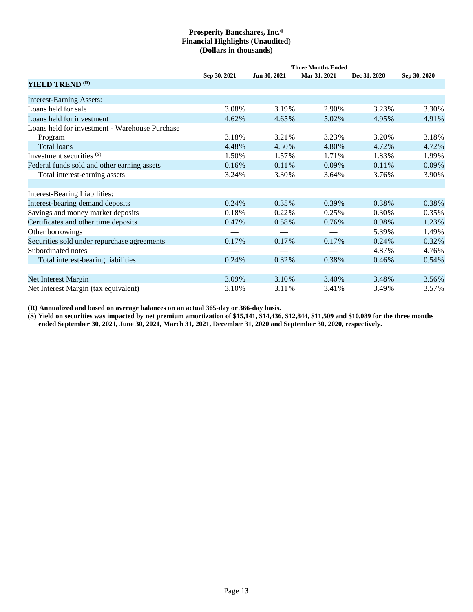|                                                |              |              | <b>Three Months Ended</b> |              |              |
|------------------------------------------------|--------------|--------------|---------------------------|--------------|--------------|
|                                                | Sep 30, 2021 | Jun 30, 2021 | Mar 31, 2021              | Dec 31, 2020 | Sep 30, 2020 |
| YIELD TREND <sup>(R)</sup>                     |              |              |                           |              |              |
| <b>Interest-Earning Assets:</b>                |              |              |                           |              |              |
| Loans held for sale                            | 3.08%        | 3.19%        | 2.90%                     | 3.23%        | 3.30%        |
| Loans held for investment                      | 4.62%        | 4.65%        | 5.02%                     | 4.95%        | 4.91%        |
| Loans held for investment - Warehouse Purchase |              |              |                           |              |              |
| Program                                        | 3.18%        | 3.21%        | 3.23%                     | 3.20%        | 3.18%        |
| Total loans                                    | 4.48%        | 4.50%        | 4.80%                     | 4.72%        | 4.72%        |
| Investment securities (S)                      | 1.50%        | 1.57%        | 1.71%                     | 1.83%        | 1.99%        |
| Federal funds sold and other earning assets    | 0.16%        | 0.11%        | 0.09%                     | 0.11%        | $0.09\%$     |
| Total interest-earning assets                  | 3.24%        | 3.30%        | 3.64%                     | 3.76%        | 3.90%        |
|                                                |              |              |                           |              |              |
| <b>Interest-Bearing Liabilities:</b>           |              |              |                           |              |              |
| Interest-bearing demand deposits               | 0.24%        | 0.35%        | 0.39%                     | 0.38%        | 0.38%        |
| Savings and money market deposits              | 0.18%        | 0.22%        | 0.25%                     | 0.30%        | 0.35%        |
| Certificates and other time deposits           | 0.47%        | 0.58%        | 0.76%                     | 0.98%        | 1.23%        |
| Other borrowings                               |              |              |                           | 5.39%        | 1.49%        |
| Securities sold under repurchase agreements    | 0.17%        | 0.17%        | 0.17%                     | 0.24%        | 0.32%        |
| Subordinated notes                             |              |              |                           | 4.87%        | 4.76%        |
| Total interest-bearing liabilities             | 0.24%        | 0.32%        | 0.38%                     | 0.46%        | $0.54\%$     |
|                                                |              |              |                           |              |              |
| Net Interest Margin                            | 3.09%        | 3.10%        | 3.40%                     | 3.48%        | 3.56%        |
| Net Interest Margin (tax equivalent)           | 3.10%        | 3.11%        | 3.41%                     | 3.49%        | 3.57%        |

**(R) Annualized and based on average balances on an actual 365-day or 366-day basis.**

**(S) Yield on securities was impacted by net premium amortization of \$15,141, \$14,436, \$12,844, \$11,509 and \$10,089 for the three months ended September 30, 2021, June 30, 2021, March 31, 2021, December 31, 2020 and September 30, 2020, respectively.**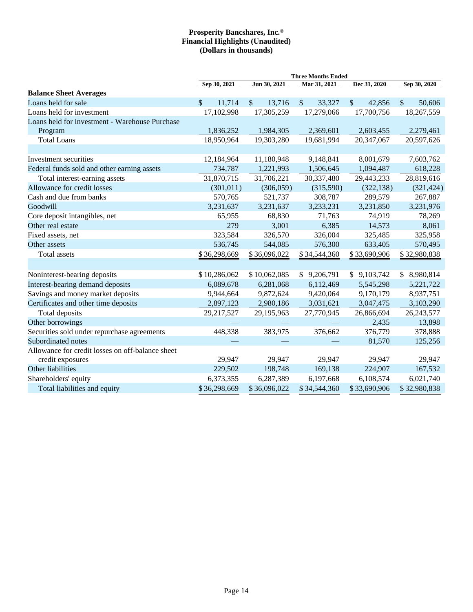|                                                  | <b>Three Months Ended</b> |                       |                         |                         |                             |  |  |  |  |  |  |
|--------------------------------------------------|---------------------------|-----------------------|-------------------------|-------------------------|-----------------------------|--|--|--|--|--|--|
|                                                  | Sep 30, 2021              | Jun 30, 2021          | Mar 31, 2021            | Dec 31, 2020            | Sep 30, 2020                |  |  |  |  |  |  |
| <b>Balance Sheet Averages</b>                    |                           |                       |                         |                         |                             |  |  |  |  |  |  |
| Loans held for sale                              | \$<br>11,714              | $\sqrt{\ }$<br>13,716 | $\mathcal{S}$<br>33,327 | $\mathcal{S}$<br>42,856 | $\mathcal{S}$<br>50,606     |  |  |  |  |  |  |
| Loans held for investment                        | 17,102,998                | 17,305,259            | 17,279,066              | 17,700,756              | 18,267,559                  |  |  |  |  |  |  |
| Loans held for investment - Warehouse Purchase   |                           |                       |                         |                         |                             |  |  |  |  |  |  |
| Program                                          | 1,836,252                 | 1,984,305             | 2,369,601               | 2,603,455               | 2,279,461                   |  |  |  |  |  |  |
| <b>Total Loans</b>                               | 18,950,964                | 19,303,280            | 19,681,994              | 20,347,067              | 20,597,626                  |  |  |  |  |  |  |
|                                                  |                           |                       |                         |                         |                             |  |  |  |  |  |  |
| Investment securities                            | 12,184,964                | 11,180,948            | 9,148,841               | 8,001,679               | 7,603,762                   |  |  |  |  |  |  |
| Federal funds sold and other earning assets      | 734,787                   | 1,221,993             | 1,506,645               | 1,094,487               | 618,228                     |  |  |  |  |  |  |
| Total interest-earning assets                    | 31,870,715                | 31,706,221            | 30,337,480              | 29,443,233              | 28,819,616                  |  |  |  |  |  |  |
| Allowance for credit losses                      | (301, 011)                | (306, 059)            | (315,590)               | (322, 138)              | (321, 424)                  |  |  |  |  |  |  |
| Cash and due from banks                          | 570,765                   | 521,737               | 308,787                 | 289,579                 | 267,887                     |  |  |  |  |  |  |
| Goodwill                                         | 3,231,637                 | 3,231,637             | 3,233,231               | 3,231,850               | 3,231,976                   |  |  |  |  |  |  |
| Core deposit intangibles, net                    | 65,955                    | 68,830                | 71,763                  | 74,919                  | 78,269                      |  |  |  |  |  |  |
| Other real estate                                | 279                       | 3,001                 | 6,385                   | 14,573                  | 8,061                       |  |  |  |  |  |  |
| Fixed assets, net                                | 323,584                   | 326,570               | 326,004                 | 325,485                 | 325,958                     |  |  |  |  |  |  |
| Other assets                                     | 536,745                   | 544,085               | 576,300                 | 633,405                 | 570,495                     |  |  |  |  |  |  |
| <b>Total</b> assets                              | \$36,298,669              | \$36,096,022          | \$34,544,360            | \$33,690,906            | \$32,980,838                |  |  |  |  |  |  |
|                                                  |                           |                       |                         |                         |                             |  |  |  |  |  |  |
| Noninterest-bearing deposits                     | \$10,286,062              | \$10,062,085          | \$9,206,791             | \$9,103,742             | $\mathbb{S}^-$<br>8,980,814 |  |  |  |  |  |  |
| Interest-bearing demand deposits                 | 6,089,678                 | 6,281,068             | 6,112,469               | 5,545,298               | 5,221,722                   |  |  |  |  |  |  |
| Savings and money market deposits                | 9,944,664                 | 9,872,624             | 9,420,064               | 9,170,179               | 8,937,751                   |  |  |  |  |  |  |
| Certificates and other time deposits             | 2,897,123                 | 2,980,186             | 3,031,621               | 3,047,475               | 3,103,290                   |  |  |  |  |  |  |
| Total deposits                                   | 29,217,527                | 29,195,963            | 27,770,945              | 26,866,694              | 26, 243, 577                |  |  |  |  |  |  |
| Other borrowings                                 |                           |                       |                         | 2,435                   | 13,898                      |  |  |  |  |  |  |
| Securities sold under repurchase agreements      | 448,338                   | 383,975               | 376,662                 | 376,779                 | 378,888                     |  |  |  |  |  |  |
| Subordinated notes                               |                           |                       |                         | 81,570                  | 125,256                     |  |  |  |  |  |  |
| Allowance for credit losses on off-balance sheet |                           |                       |                         |                         |                             |  |  |  |  |  |  |
| credit exposures                                 | 29,947                    | 29,947                | 29,947                  | 29,947                  | 29,947                      |  |  |  |  |  |  |
| Other liabilities                                | 229,502                   | 198,748               | 169,138                 | 224,907                 | 167,532                     |  |  |  |  |  |  |
| Shareholders' equity                             | 6,373,355                 | 6,287,389             | 6,197,668               | 6,108,574               | 6,021,740                   |  |  |  |  |  |  |
| Total liabilities and equity                     | \$36,298,669              | \$36,096,022          | \$34,544,360            | \$33,690,906            | \$32,980,838                |  |  |  |  |  |  |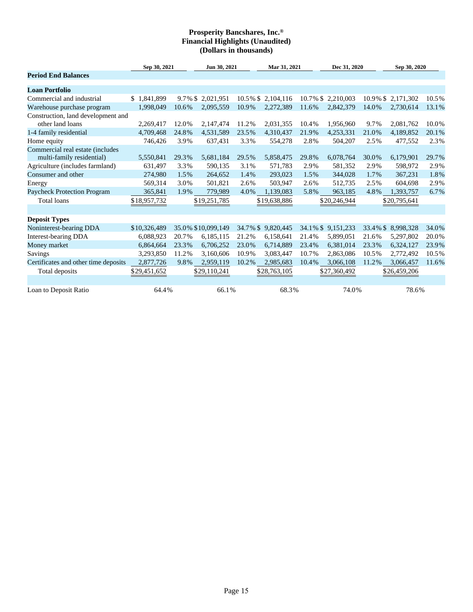|                                                                              | Sep 30, 2021 |       | Jun 30, 2021       |          | Mar 31, 2021       |       | Dec 31, 2020       |             | Sep 30, 2020 |       |
|------------------------------------------------------------------------------|--------------|-------|--------------------|----------|--------------------|-------|--------------------|-------------|--------------|-------|
| <b>Period End Balances</b>                                                   |              |       |                    |          |                    |       |                    |             |              |       |
| <b>Loan Portfolio</b>                                                        |              |       |                    |          |                    |       |                    |             |              |       |
| Commercial and industrial                                                    | \$1.841.899  |       | 9.7% \$2,021,951   |          | 10.5% \$ 2,104,116 |       | 10.7% \$ 2,210,003 | $10.9\%$ \$ | 2.171.302    | 10.5% |
| Warehouse purchase program                                                   | 1.998.049    | 10.6% | 2,095,559          | 10.9%    | 2,272,389          | 11.6% | 2,842,379          | 14.0%       | 2,730,614    | 13.1% |
| Construction, land development and<br>other land loans                       | 2,269,417    | 12.0% | 2,147,474          | 11.2%    | 2,031,355          | 10.4% | 1,956,960          | 9.7%        | 2,081,762    | 10.0% |
|                                                                              | 4,709,468    | 24.8% | 4,531,589          | 23.5%    | 4,310,437          | 21.9% | 4,253,331          | 21.0%       | 4,189,852    | 20.1% |
| 1-4 family residential                                                       | 746,426      | 3.9%  | 637,431            | 3.3%     | 554,278            | 2.8%  | 504,207            | 2.5%        | 477,552      | 2.3%  |
| Home equity<br>Commercial real estate (includes<br>multi-family residential) | 5,550,841    | 29.3% | 5,681,184          | 29.5%    | 5,858,475          | 29.8% | 6,078,764          | 30.0%       | 6,179,901    | 29.7% |
| Agriculture (includes farmland)                                              | 631,497      | 3.3%  | 590,135            | 3.1%     | 571,783            | 2.9%  | 581,352            | 2.9%        | 598,972      | 2.9%  |
| Consumer and other                                                           | 274.980      | 1.5%  | 264,652            | 1.4%     | 293,023            | 1.5%  | 344,028            | 1.7%        | 367,231      | 1.8%  |
| Energy                                                                       | 569,314      | 3.0%  | 501,821            | 2.6%     | 503,947            | 2.6%  | 512,735            | 2.5%        | 604,698      | 2.9%  |
| Paycheck Protection Program                                                  | 365,841      | 1.9%  | 779,989            | 4.0%     | 1,139,083          | 5.8%  | 963,185            | 4.8%        | 1,393,757    | 6.7%  |
| <b>Total loans</b>                                                           | \$18,957,732 |       | \$19,251,785       |          | \$19,638,886       |       | \$20,246,944       |             | \$20,795,641 |       |
| <b>Deposit Types</b>                                                         |              |       |                    |          |                    |       |                    |             |              |       |
| Noninterest-bearing DDA                                                      | \$10,326,489 |       | 35.0% \$10,099,149 | 34.7% \$ | 9,820,445          |       | 34.1% \$9,151,233  | 33.4% \$    | 8,998,328    | 34.0% |
| Interest-bearing DDA                                                         | 6,088,923    | 20.7% | 6,185,115          | 21.2%    | 6,158,641          | 21.4% | 5,899,051          | 21.6%       | 5,297,802    | 20.0% |
| Money market                                                                 | 6,864,664    | 23.3% | 6,706,252          | 23.0%    | 6,714,889          | 23.4% | 6,381,014          | 23.3%       | 6,324,127    | 23.9% |
| <b>Savings</b>                                                               | 3,293,850    | 11.2% | 3,160,606          | 10.9%    | 3,083,447          | 10.7% | 2,863,086          | 10.5%       | 2,772,492    | 10.5% |
| Certificates and other time deposits                                         | 2,877,726    | 9.8%  | 2,959,119          | 10.2%    | 2,985,683          | 10.4% | 3,066,108          | 11.2%       | 3,066,457    | 11.6% |
| Total deposits                                                               | \$29,451,652 |       | \$29,110,241       |          | \$28,763,105       |       | \$27,360,492       |             | \$26,459,206 |       |
| Loan to Deposit Ratio                                                        | 64.4%        |       | 66.1%              |          | 68.3%              |       | 74.0%              |             | 78.6%        |       |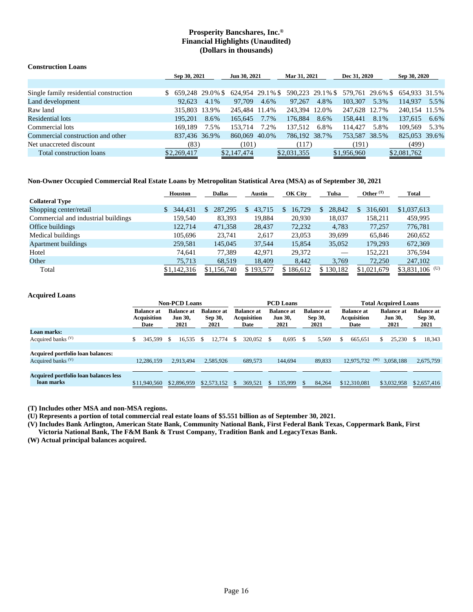## **Construction Loans**

|                                        | Sep 30, 2021     |               |               | Jun 30, 2021 |                                                                  | Mar 31, 2021 |               | Dec 31, 2020 |               | Sep 30, 2020 |
|----------------------------------------|------------------|---------------|---------------|--------------|------------------------------------------------------------------|--------------|---------------|--------------|---------------|--------------|
|                                        |                  |               |               |              |                                                                  |              |               |              |               |              |
| Single family residential construction | $$659,24829.0\%$ |               |               |              | 624,954 29.1% \$ 590,223 29.1% \$ 579,761 29.6% \$ 654,933 31.5% |              |               |              |               |              |
| Land development                       | 92.623           | 4.1%          | 97.709        | 4.6%         | 97.267                                                           | 4.8%         | 103,307       | 5.3%         | 114.937       | 5.5%         |
| Raw land                               |                  | 315,803 13.9% | 245.484 11.4% |              | 243,394 12.0%                                                    |              | 247,628 12.7% |              | 240,154 11.5% |              |
| Residential lots                       | 195.201          | 8.6%          | 165.645       | 7.7%         | 176,884                                                          | 8.6%         | 158.441       | 8.1%         | 137,615       | 6.6%         |
| Commercial lots                        | 169.189          | 7.5%          | 153.714       | 7.2%         | 137.512                                                          | 6.8%         | 114.427       | 5.8%         | 109.569       | 5.3%         |
| Commercial construction and other      | 837,436 36.9%    |               | 860,069 40.0% |              | 786,192 38.7%                                                    |              | 753,587 38.5% |              | 825,053 39.6% |              |
| Net unaccreted discount                | (83)             |               | (101)         |              | (117)                                                            |              | (191)         |              | (499)         |              |
| Total construction loans               | \$2,269,417      |               | \$2,147,474   |              | \$2,031,355                                                      |              | \$1,956,960   |              | \$2,081,762   |              |

## **Non-Owner Occupied Commercial Real Estate Loans by Metropolitan Statistical Area (MSA) as of September 30, 2021**

|                                     | <b>Houston</b>          | <b>Dallas</b> | Austin      | OK City   | Tulsa        | Other $(T)$ | Total            |
|-------------------------------------|-------------------------|---------------|-------------|-----------|--------------|-------------|------------------|
| <b>Collateral Type</b>              |                         |               |             |           |              |             |                  |
| Shopping center/retail              | 344,431<br>$\mathbb{S}$ | 287.295<br>\$ | 43,715<br>S | 16.729    | 28.842<br>S. | 316.601     | \$1,037,613      |
| Commercial and industrial buildings | 159.540                 | 83,393        | 19,884      | 20,930    | 18,037       | 158,211     | 459,995          |
| Office buildings                    | 122,714                 | 471,358       | 28,437      | 72,232    | 4,783        | 77.257      | 776,781          |
| Medical buildings                   | 105.696                 | 23.741        | 2.617       | 23,053    | 39,699       | 65.846      | 260,652          |
| Apartment buildings                 | 259,581                 | 145,045       | 37.544      | 15,854    | 35,052       | 179.293     | 672,369          |
| Hotel                               | 74.641                  | 77.389        | 42.971      | 29,372    |              | 152.221     | 376.594          |
| Other                               | 75,713                  | 68,519        | 18,409      | 8,442     | 3,769        | 72,250      | 247,102          |
| Total                               | \$1,142,316             | \$1,156,740   | \$193,577   | \$186,612 | \$130,182    | \$1,021,679 | $$3,831,106$ (U) |

## **Acquired Loans**

|                                                     |                                                 | <b>Non-PCD Loans</b>                        |                                      |                                                 | <b>PCD Loans</b>                            |                                      |                                                 | <b>Total Acquired Loans</b>                 |                                      |  |  |
|-----------------------------------------------------|-------------------------------------------------|---------------------------------------------|--------------------------------------|-------------------------------------------------|---------------------------------------------|--------------------------------------|-------------------------------------------------|---------------------------------------------|--------------------------------------|--|--|
|                                                     | <b>Balance at</b><br><b>Acquisition</b><br>Date | <b>Balance at</b><br><b>Jun 30,</b><br>2021 | <b>Balance</b> at<br>Sep 30,<br>2021 | <b>Balance at</b><br><b>Acquisition</b><br>Date | <b>Balance at</b><br><b>Jun 30,</b><br>2021 | <b>Balance</b> at<br>Sep 30,<br>2021 | <b>Balance at</b><br><b>Acquisition</b><br>Date | <b>Balance at</b><br><b>Jun 30,</b><br>2021 | <b>Balance at</b><br>Sep 30,<br>2021 |  |  |
| Loan marks:                                         |                                                 |                                             |                                      |                                                 |                                             |                                      |                                                 |                                             |                                      |  |  |
| Acquired banks $(V)$                                | 345.599                                         | 16,535<br>- \$                              | 12.774<br>S.                         | 320,052<br>S.                                   | 8.695                                       | 5.569<br>- \$                        | 665.651                                         | 25.230<br>S.                                | 18,343                               |  |  |
|                                                     |                                                 |                                             |                                      |                                                 |                                             |                                      |                                                 |                                             |                                      |  |  |
| Acquired portfolio loan balances:                   |                                                 |                                             |                                      |                                                 |                                             |                                      |                                                 |                                             |                                      |  |  |
| Acquired banks $(V)$                                | 12.286.159                                      | 2.913.494                                   | 2,585,926                            | 689,573                                         | 144,694                                     | 89.833                               | $12.975.732$ (W)                                | 3.058.188                                   | 2,675,759                            |  |  |
|                                                     |                                                 |                                             |                                      |                                                 |                                             |                                      |                                                 |                                             |                                      |  |  |
| Acquired portfolio loan balances less<br>loan marks | \$11,940,560                                    | \$2,896,959                                 | \$2,573,152                          | 369,521<br>\$.                                  | 135,999                                     | 84,264                               | \$12,310,081                                    | \$3,032,958                                 | \$2,657,416                          |  |  |

**(T) Includes other MSA and non-MSA regions.**

**(U) Represents a portion of total commercial real estate loans of \$5.551 billion as of September 30, 2021.**

**(V) Includes Bank Arlington, American State Bank, Community National Bank, First Federal Bank Texas, Coppermark Bank, First Victoria National Bank, The F&M Bank & Trust Company, Tradition Bank and LegacyTexas Bank.**

**(W) Actual principal balances acquired.**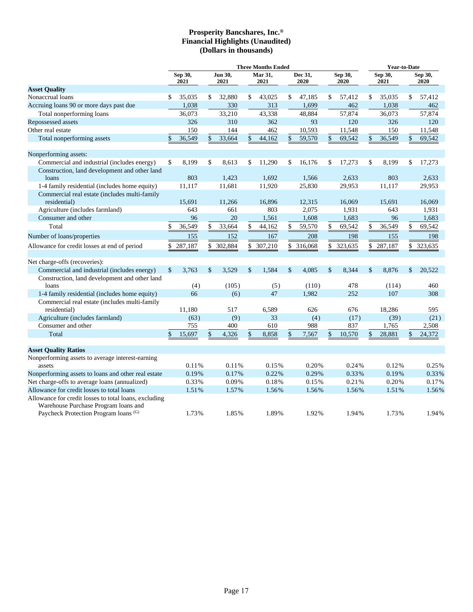|                                                                                               | <b>Three Months Ended</b> |                 |               |                 |    |                 |    |                 |               |                 | <b>Year-to-Date</b> |                 |               |                 |
|-----------------------------------------------------------------------------------------------|---------------------------|-----------------|---------------|-----------------|----|-----------------|----|-----------------|---------------|-----------------|---------------------|-----------------|---------------|-----------------|
|                                                                                               |                           | Sep 30,<br>2021 |               | Jun 30,<br>2021 |    | Mar 31,<br>2021 |    | Dec 31,<br>2020 |               | Sep 30,<br>2020 |                     | Sep 30,<br>2021 |               | Sep 30,<br>2020 |
| <b>Asset Quality</b>                                                                          |                           |                 |               |                 |    |                 |    |                 |               |                 |                     |                 |               |                 |
| Nonaccrual loans                                                                              | \$                        | 35,035          | \$            | 32,880          | \$ | 43,025          | \$ | 47,185          | \$            | 57,412          | \$                  | 35,035          | \$            | 57,412          |
| Accruing loans 90 or more days past due                                                       |                           | 1,038           |               | 330             |    | 313             |    | 1,699           |               | 462             |                     | 1,038           |               | 462             |
| Total nonperforming loans                                                                     |                           | 36,073          |               | 33,210          |    | 43,338          |    | 48,884          |               | 57,874          |                     | 36,073          |               | 57,874          |
| Repossessed assets                                                                            |                           | 326             |               | 310             |    | 362             |    | 93              |               | 120             |                     | 326             |               | 120             |
| Other real estate                                                                             |                           | 150             |               | 144             |    | 462             |    | 10,593          |               | 11,548          |                     | 150             |               | 11,548          |
| Total nonperforming assets                                                                    | \$                        | 36,549          | $\mathsf{\$}$ | 33,664          | \$ | 44,162          | \$ | 59,570          | $\mathbf{\$}$ | 69,542          | \$                  | 36,549          | $\mathsf{\$}$ | 69,542          |
| Nonperforming assets:                                                                         |                           |                 |               |                 |    |                 |    |                 |               |                 |                     |                 |               |                 |
| Commercial and industrial (includes energy)                                                   | \$                        | 8,199           | \$            | 8,613           | \$ | 11,290          | \$ | 16,176          | \$            | 17,273          | \$                  | 8,199           | \$            | 17,273          |
| Construction, land development and other land                                                 |                           |                 |               |                 |    |                 |    |                 |               |                 |                     |                 |               |                 |
| loans                                                                                         |                           | 803             |               | 1,423           |    | 1,692           |    | 1,566           |               | 2,633           |                     | 803             |               | 2,633           |
| 1-4 family residential (includes home equity)                                                 |                           | 11,117          |               | 11,681          |    | 11,920          |    | 25,830          |               | 29,953          |                     | 11,117          |               | 29,953          |
| Commercial real estate (includes multi-family<br>residential)                                 |                           | 15,691          |               | 11,266          |    | 16,896          |    | 12,315          |               | 16,069          |                     | 15,691          |               | 16,069          |
| Agriculture (includes farmland)                                                               |                           | 643             |               | 661             |    | 803             |    | 2,075           |               | 1,931           |                     | 643             |               | 1,931           |
| Consumer and other                                                                            |                           | 96              |               | 20              |    | 1,561           |    | 1,608           |               | 1,683           |                     | 96              |               | 1,683           |
| Total                                                                                         | \$                        | 36,549          | \$            | 33,664          | \$ | 44,162          | \$ | 59,570          | \$            | 69,542          | \$                  | 36,549          | \$            | 69,542          |
| Number of loans/properties                                                                    |                           | 155             |               | 152             |    | 167             |    | 208             |               | 198             |                     | 155             |               | 198             |
|                                                                                               |                           |                 |               |                 |    |                 |    |                 |               |                 |                     |                 |               |                 |
| Allowance for credit losses at end of period                                                  | \$                        | 287,187         |               | \$ 302,884      | \$ | 307,210         |    | \$ 316,068      | \$            | 323,635         | \$                  | 287,187         |               | \$ 323,635      |
| Net charge-offs (recoveries):                                                                 |                           |                 |               |                 |    |                 |    |                 |               |                 |                     |                 |               |                 |
| Commercial and industrial (includes energy)                                                   | \$                        | 3,763           | \$            | 3,529           | \$ | 1,584           | \$ | 4,085           | \$            | 8,344           | $\mathcal{S}$       | 8,876           | \$            | 20,522          |
| Construction, land development and other land                                                 |                           |                 |               |                 |    |                 |    |                 |               |                 |                     |                 |               |                 |
| loans                                                                                         |                           | (4)             |               | (105)           |    | (5)             |    | (110)           |               | 478             |                     | (114)           |               | 460             |
| 1-4 family residential (includes home equity)                                                 |                           | 66              |               | (6)             |    | 47              |    | 1,982           |               | 252             |                     | 107             |               | 308             |
| Commercial real estate (includes multi-family                                                 |                           |                 |               |                 |    |                 |    |                 |               |                 |                     |                 |               |                 |
| residential)                                                                                  |                           | 11,180          |               | 517             |    | 6,589           |    | 626             |               | 676             |                     | 18,286          |               | 595             |
| Agriculture (includes farmland)                                                               |                           | (63)            |               | (9)             |    | 33              |    | (4)             |               | (17)            |                     | (39)            |               | (21)            |
| Consumer and other                                                                            |                           | 755             |               | 400             |    | 610             |    | 988             |               | 837             |                     | 1,765           |               | 2,508           |
| Total                                                                                         | \$                        | 15,697          | \$            | 4,326           |    | 8,858           | \$ | 7,567           | \$            | 10,570          | \$                  | 28,881          | \$            | 24,372          |
| <b>Asset Quality Ratios</b>                                                                   |                           |                 |               |                 |    |                 |    |                 |               |                 |                     |                 |               |                 |
| Nonperforming assets to average interest-earning                                              |                           |                 |               |                 |    |                 |    |                 |               |                 |                     |                 |               |                 |
| assets                                                                                        |                           | 0.11%           |               | 0.11%           |    | 0.15%           |    | 0.20%           |               | 0.24%           |                     | 0.12%           |               | 0.25%           |
| Nonperforming assets to loans and other real estate                                           |                           | 0.19%           |               | 0.17%           |    | 0.22%           |    | 0.29%           |               | 0.33%           |                     | 0.19%           |               | 0.33%           |
| Net charge-offs to average loans (annualized)                                                 |                           | 0.33%           |               | 0.09%           |    | 0.18%           |    | 0.15%           |               | 0.21%           |                     | 0.20%           |               | 0.17%           |
| Allowance for credit losses to total loans                                                    |                           | 1.51%           |               | 1.57%           |    | 1.56%           |    | 1.56%           |               | 1.56%           |                     | 1.51%           |               | 1.56%           |
| Allowance for credit losses to total loans, excluding<br>Warehouse Purchase Program loans and |                           |                 |               |                 |    |                 |    |                 |               |                 |                     |                 |               |                 |
| Paycheck Protection Program loans <sup>(G)</sup>                                              |                           | 1.73%           |               | 1.85%           |    | 1.89%           |    | 1.92%           |               | 1.94%           |                     | 1.73%           |               | 1.94%           |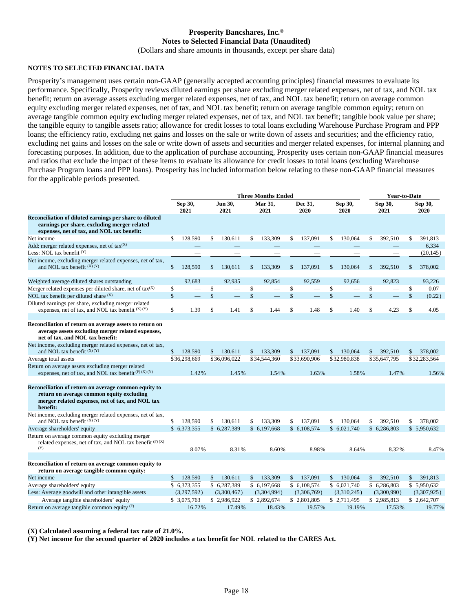## **Prosperity Bancshares, Inc.® Notes to Selected Financial Data (Unaudited)**

(Dollars and share amounts in thousands, except per share data)

## **NOTES TO SELECTED FINANCIAL DATA**

Prosperity's management uses certain non-GAAP (generally accepted accounting principles) financial measures to evaluate its performance. Specifically, Prosperity reviews diluted earnings per share excluding merger related expenses, net of tax, and NOL tax benefit; return on average assets excluding merger related expenses, net of tax, and NOL tax benefit; return on average common equity excluding merger related expenses, net of tax, and NOL tax benefit; return on average tangible common equity; return on average tangible common equity excluding merger related expenses, net of tax, and NOL tax benefit; tangible book value per share; the tangible equity to tangible assets ratio; allowance for credit losses to total loans excluding Warehouse Purchase Program and PPP loans; the efficiency ratio, excluding net gains and losses on the sale or write down of assets and securities; and the efficiency ratio, excluding net gains and losses on the sale or write down of assets and securities and merger related expenses, for internal planning and forecasting purposes. In addition, due to the application of purchase accounting, Prosperity uses certain non-GAAP financial measures and ratios that exclude the impact of these items to evaluate its allowance for credit losses to total loans (excluding Warehouse Purchase Program loans and PPP loans). Prosperity has included information below relating to these non-GAAP financial measures for the applicable periods presented.

|                                                                                                                                                                   | <b>Three Months Ended</b> |              |                        |              |    |                        |               |                 |                 | <b>Year-to-Date</b>      |                 |              |    |                 |
|-------------------------------------------------------------------------------------------------------------------------------------------------------------------|---------------------------|--------------|------------------------|--------------|----|------------------------|---------------|-----------------|-----------------|--------------------------|-----------------|--------------|----|-----------------|
|                                                                                                                                                                   | Sep 30,<br>2021           |              | <b>Jun 30,</b><br>2021 |              |    | <b>Mar 31,</b><br>2021 |               | Dec 31,<br>2020 | Sep 30,<br>2020 |                          | Sep 30,<br>2021 |              |    | Sep 30,<br>2020 |
| Reconciliation of diluted earnings per share to diluted<br>earnings per share, excluding merger related<br>expenses, net of tax, and NOL tax benefit:             |                           |              |                        |              |    |                        |               |                 |                 |                          |                 |              |    |                 |
| Net income                                                                                                                                                        | \$                        | 128,590      | \$                     | 130.611      | \$ | 133.309                | \$            | 137.091         | \$              | 130,064                  | \$              | 392,510      | \$ | 391,813         |
| Add: merger related expenses, net of $tax^{(X)}$                                                                                                                  |                           |              |                        |              |    |                        |               |                 |                 |                          |                 |              |    | 6,334           |
| Less: NOL tax benefit $(Y)$                                                                                                                                       |                           |              |                        |              |    |                        |               |                 |                 |                          |                 |              |    | (20, 145)       |
| Net income, excluding merger related expenses, net of tax,<br>and NOL tax benefit $(X) (Y)$                                                                       | \$                        | 128,590      | \$                     | 130.611      | \$ | 133.309                | $\mathbb{S}$  | 137,091         | \$              | 130,064                  | \$              | 392.510      | \$ | 378,002         |
| Weighted average diluted shares outstanding                                                                                                                       |                           | 92.683       |                        | 92.935       |    | 92.854                 |               | 92.559          |                 | 92.656                   |                 | 92.823       |    | 93.226          |
| Merger related expenses per diluted share, net of $tax^{(X)}$                                                                                                     | \$                        |              | \$                     |              | \$ |                        | \$            |                 | \$              | $\overline{\phantom{0}}$ | \$              |              | \$ | 0.07            |
| NOL tax benefit per diluted share (X)                                                                                                                             | $\mathsf{\$}$             |              | \$                     |              | \$ |                        | $\mathsf{\$}$ |                 | \$              |                          | \$              |              | \$ | (0.22)          |
| Diluted earnings per share, excluding merger related<br>expenses, net of tax, and NOL tax benefit (X)(Y)                                                          | \$                        | 1.39         | \$                     | 1.41         | \$ | 1.44                   | \$            | 1.48            | \$              | 1.40                     | \$              | 4.23         | \$ | 4.05            |
|                                                                                                                                                                   |                           |              |                        |              |    |                        |               |                 |                 |                          |                 |              |    |                 |
| Reconciliation of return on average assets to return on<br>average assets excluding merger related expenses,<br>net of tax, and NOL tax benefit:                  |                           |              |                        |              |    |                        |               |                 |                 |                          |                 |              |    |                 |
| Net income, excluding merger related expenses, net of tax,<br>and NOL tax benefit (X)(Y)                                                                          | \$                        | 128,590      | \$                     | 130,611      | \$ | 133,309                | \$            | 137,091         | \$              | 130,064                  | \$              | 392,510      | \$ | 378,002         |
| Average total assets                                                                                                                                              |                           | \$36,298,669 |                        | \$36,096,022 |    | \$34,544,360           |               | \$33,690,906    |                 | \$32,980,838             |                 | \$35,647,795 |    | \$32,283,564    |
| Return on average assets excluding merger related                                                                                                                 |                           |              |                        |              |    |                        |               |                 |                 |                          |                 |              |    |                 |
| expenses, net of tax, and NOL tax benefit $(F)$ $(X)$ $(Y)$                                                                                                       |                           | 1.42%        |                        | 1.45%        |    | 1.54%                  |               | 1.63%           |                 | 1.58%                    |                 | 1.47%        |    | 1.56%           |
| Reconciliation of return on average common equity to<br>return on average common equity excluding<br>merger related expenses, net of tax, and NOL tax<br>benefit: |                           |              |                        |              |    |                        |               |                 |                 |                          |                 |              |    |                 |
| Net income, excluding merger related expenses, net of tax,<br>and NOL tax benefit $(X) (Y)$                                                                       | \$                        | 128,590      | \$                     | 130,611      | \$ | 133,309                | \$            | 137,091         | \$              | 130,064                  | \$              | 392,510      | \$ | 378,002         |
| Average shareholders' equity                                                                                                                                      |                           | \$6,373,355  |                        | \$6,287,389  |    | \$6,197,668            |               | \$ 6,108,574    |                 | \$6.021.740              |                 | \$6.286,803  |    | \$5.950,632     |
| Return on average common equity excluding merger<br>related expenses, net of tax, and NOL tax benefit $(F)$ (X)<br>(Y)                                            |                           | 8.07%        |                        | 8.31%        |    | 8.60%                  |               | 8.98%           |                 | 8.64%                    |                 | 8.32%        |    | 8.47%           |
|                                                                                                                                                                   |                           |              |                        |              |    |                        |               |                 |                 |                          |                 |              |    |                 |
| Reconciliation of return on average common equity to<br>return on average tangible common equity:                                                                 |                           |              |                        |              |    |                        |               |                 |                 |                          |                 |              |    |                 |
| Net income                                                                                                                                                        | \$                        | 128,590      | \$                     | 130,611      | \$ | 133,309                | \$            | 137,091         | \$              | 130,064                  | \$              | 392,510      | \$ | 391,813         |
| Average shareholders' equity                                                                                                                                      |                           | \$6,373,355  |                        | \$6,287,389  |    | \$ 6,197,668           |               | \$ 6,108,574    |                 | \$6,021,740              |                 | \$6,286,803  |    | \$5,950,632     |
| Less: Average goodwill and other intangible assets                                                                                                                |                           | (3,297,592)  |                        | (3,300,467)  |    | (3,304,994)            |               | (3,306,769)     |                 | (3,310,245)              |                 | (3,300,990)  |    | (3,307,925)     |
| Average tangible shareholders' equity                                                                                                                             |                           | \$3,075,763  |                        | \$2,986,922  |    | \$2,892,674            |               | \$2,801,805     |                 | \$2,711,495              |                 | \$2,985,813  |    | \$2,642,707     |
| Return on average tangible common equity $(F)$                                                                                                                    |                           | 16.72%       |                        | 17.49%       |    | 18.43%                 |               | 19.57%          |                 | 19.19%                   |                 | 17.53%       |    | 19.77%          |

**(X) Calculated assuming a federal tax rate of 21.0%.**

**(Y) Net income for the second quarter of 2020 includes a tax benefit for NOL related to the CARES Act.**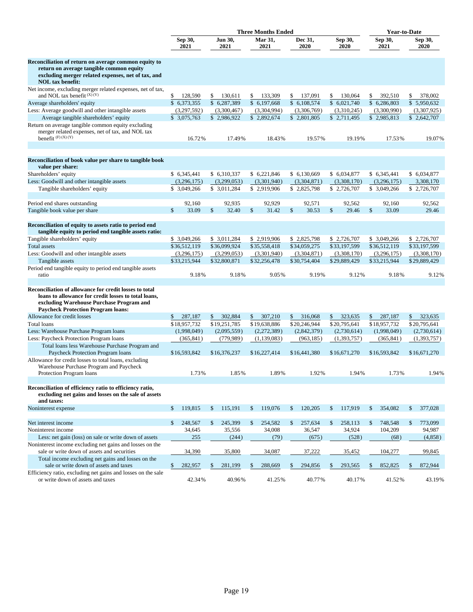|                                                                                                                                                                                                         |                          |                       | <b>Three Months Ended</b> |                          |                       | <b>Year-to-Date</b>     |                       |
|---------------------------------------------------------------------------------------------------------------------------------------------------------------------------------------------------------|--------------------------|-----------------------|---------------------------|--------------------------|-----------------------|-------------------------|-----------------------|
|                                                                                                                                                                                                         | Sep 30,<br>2021          | Jun 30,<br>2021       | <b>Mar 31,</b><br>2021    | Dec 31,<br>2020          | Sep 30,<br>2020       | Sep 30,<br>2021         | Sep 30,<br>2020       |
| Reconciliation of return on average common equity to<br>return on average tangible common equity<br>excluding merger related expenses, net of tax, and<br><b>NOL</b> tax benefit:                       |                          |                       |                           |                          |                       |                         |                       |
| Net income, excluding merger related expenses, net of tax,<br>and NOL tax benefit $(X) (Y)$                                                                                                             | \$<br>128,590            | 130,611<br>\$         | \$<br>133,309             | 137,091<br>\$            | 130,064<br>\$         | \$<br>392,510           | \$<br>378,002         |
| Average shareholders' equity                                                                                                                                                                            | \$6,373,355              | \$6,287,389           | \$ 6,197,668              | \$6,108,574              | \$6,021,740           | \$6,286,803             | \$5,950,632           |
| Less: Average goodwill and other intangible assets                                                                                                                                                      | (3,297,592)              | (3,300,467)           | (3,304,994)               | (3,306,769)              | (3,310,245)           | (3,300,990)             | (3,307,925)           |
| Average tangible shareholders' equity                                                                                                                                                                   | \$3,075,763              | \$2,986,922           | \$2,892,674               | \$2,801,805              | \$2,711,495           | \$2,985,813             | \$2,642,707           |
| Return on average tangible common equity excluding<br>merger related expenses, net of tax, and NOL tax<br>benefit $(F)$ $(X)$ $(Y)$                                                                     | 16.72%                   | 17.49%                | 18.43%                    | 19.57%                   | 19.19%                | 17.53%                  | 19.07%                |
| Reconciliation of book value per share to tangible book<br>value per share:                                                                                                                             |                          |                       |                           |                          |                       |                         |                       |
| Shareholders' equity                                                                                                                                                                                    | \$6,345,441              | \$6,310,337           | \$6,221,846               | \$ 6,130,669             | \$ 6,034,877          | \$6,345,441             | \$ 6,034,877          |
| Less: Goodwill and other intangible assets                                                                                                                                                              | (3,296,175)              | (3,299,053)           | (3,301,940)               | (3,304,871)              | (3,308,170)           | (3,296,175)             | 3,308,170             |
| Tangible shareholders' equity                                                                                                                                                                           | \$ 3,049,266             | \$ 3,011,284          | \$2,919,906               | \$2,825,798              | \$2,726,707           | \$3,049,266             | \$2,726,707           |
| Period end shares outstanding                                                                                                                                                                           | 92,160                   | 92,935                | 92,929                    | 92,571                   | 92,562                | 92,160                  | 92,562                |
| Tangible book value per share                                                                                                                                                                           | $\mathsf{\$}$<br>33.09   | \$<br>32.40           | \$<br>31.42               | \$<br>30.53              | \$<br>29.46           | \$<br>33.09             | 29.46                 |
| Reconciliation of equity to assets ratio to period end<br>tangible equity to period end tangible assets ratio:                                                                                          |                          |                       |                           |                          |                       |                         |                       |
| Tangible shareholders' equity                                                                                                                                                                           | \$3,049,266              | \$ 3,011,284          | \$2,919,906               | \$2,825,798              | \$2,726,707           | \$ 3,049,266            | \$2,726,707           |
| <b>Total</b> assets                                                                                                                                                                                     | \$36,512,119             | \$36,099,924          | \$35,558,418              | \$34,059,275             | \$33,197,599          | \$36,512,119            | \$33,197,599          |
| Less: Goodwill and other intangible assets                                                                                                                                                              | (3,296,175)              | (3,299,053)           | (3,301,940)               | (3,304,871)              | (3,308,170)           | (3,296,175)             | (3,308,170)           |
| Tangible assets<br>Period end tangible equity to period end tangible assets                                                                                                                             | \$33,215,944             | \$32,800,871          | \$32,256,478              | \$30,754,404             | \$29,889,429          | \$33,215,944            | \$29,889,429          |
| ratio                                                                                                                                                                                                   | 9.18%                    | 9.18%                 | 9.05%                     | 9.19%                    | 9.12%                 | 9.18%                   | 9.12%                 |
| Reconciliation of allowance for credit losses to total<br>loans to allowance for credit losses to total loans,<br>excluding Warehouse Purchase Program and<br><b>Paycheck Protection Program loans:</b> |                          |                       |                           |                          |                       |                         |                       |
| Allowance for credit losses                                                                                                                                                                             | 287,187<br>\$            | 302,884<br>\$         | 307,210<br>\$             | \$<br>316,068            | \$<br>323,635         | 287,187<br>\$           | 323,635<br>\$         |
| <b>Total loans</b>                                                                                                                                                                                      | \$18,957,732             | \$19,251,785          | \$19,638,886              | \$20,246,944             | \$20,795,641          | \$18,957,732            | \$20,795,641          |
| Less: Warehouse Purchase Program loans                                                                                                                                                                  | (1,998,049)              | (2,095,559)           | (2,272,389)               | (2,842,379)              | (2,730,614)           | (1,998,049)             | (2,730,614)           |
| Less: Paycheck Protection Program loans<br>Total loans less Warehouse Purchase Program and                                                                                                              | (365, 841)               | (779, 989)            | (1,139,083)               | (963, 185)               | (1,393,757)           | (365, 841)              | (1,393,757)           |
| Paycheck Protection Program loans<br>Allowance for credit losses to total loans, excluding<br>Warehouse Purchase Program and Paycheck<br>Protection Program loans                                       | \$16,593,842<br>1.73%    | \$16,376,237<br>1.85% | \$16,227,414<br>1.89%     | \$16,441,380<br>1.92%    | \$16,671,270<br>1.94% | \$16,593,842<br>1.73%   | \$16,671,270<br>1.94% |
|                                                                                                                                                                                                         |                          |                       |                           |                          |                       |                         |                       |
| Reconciliation of efficiency ratio to efficiency ratio,<br>excluding net gains and losses on the sale of assets<br>and taxes:                                                                           |                          |                       |                           |                          |                       |                         |                       |
| Noninterest expense                                                                                                                                                                                     | $\mathcal{S}$<br>119,815 | \$<br>115,191         | $\mathbb{S}$<br>119,076   | $\mathcal{S}$<br>120,205 | \$<br>117,919         | \$<br>354,082           | \$<br>377,028         |
| Net interest income                                                                                                                                                                                     | 248,567<br>\$            | \$<br>245,399         | 254,582<br>$\mathbb{S}$   | $\mathbb{S}$<br>257,634  | \$<br>258,113         | $\mathbb{S}$<br>748,548 | 773,099<br>\$         |
| Noninterest income                                                                                                                                                                                      | 34,645                   | 35,556                | 34,008                    | 36,547                   | 34,924                | 104,209                 | 94,987                |
| Less: net gain (loss) on sale or write down of assets                                                                                                                                                   | 255                      | (244)                 | (79)                      | (675)                    | (528)                 | (68)                    | (4,858)               |
| Noninterest income excluding net gains and losses on the                                                                                                                                                |                          |                       |                           |                          |                       |                         |                       |
| sale or write down of assets and securities                                                                                                                                                             | 34,390                   | 35,800                | 34,087                    | 37,222                   | 35,452                | 104,277                 | 99,845                |
| Total income excluding net gains and losses on the<br>sale or write down of assets and taxes                                                                                                            | \$<br>282,957            | \$<br>281,199         | \$<br>288,669             | \$<br>294,856            | \$<br>293,565         | \$<br>852,825           | \$<br>872,944         |
| Efficiency ratio, excluding net gains and losses on the sale<br>or write down of assets and taxes                                                                                                       | 42.34%                   | 40.96%                | 41.25%                    | 40.77%                   | 40.17%                | 41.52%                  | 43.19%                |